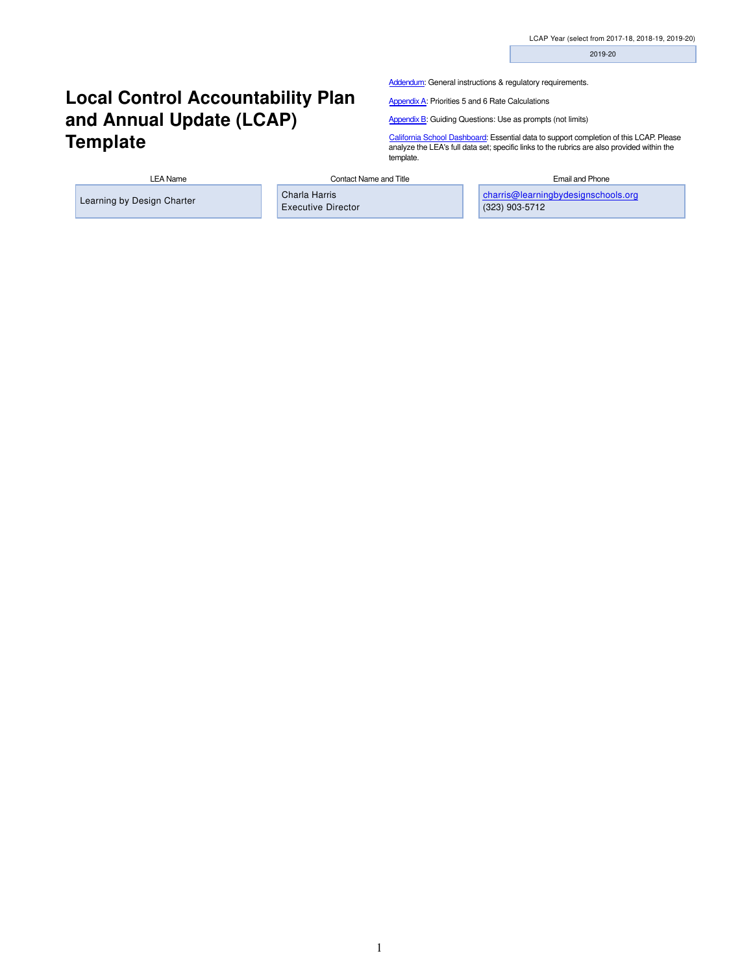2019-20

## **Local Control Accountability Plan and Annual Update (LCAP) Template**

[Addendum:](https://elcap.lacoe.edu/lcap2017/docs/addendum.html) General instructions & regulatory requirements.

[Appendix A:](https://elcap.lacoe.edu/lcap2017/docs/appendix_a.html) Priorities 5 and 6 Rate Calculations

[Appendix B:](https://elcap.lacoe.edu/lcap2017/docs/appendix_b.html) Guiding Questions: Use as prompts (not limits)

[California School Dashboard:](https://www.caschooldashboard.org/) Essential data to support completion of this LCAP. Please analyze the LEA's full data set; specific links to the rubrics are also provided within the template.

LEA Name Contact Name and Title **Contact Name and Title** Contact Name and Title **Email and Phone** 

Learning by Design Charter Charla Harris

Executive Director

[charris@learningbydesignschools.org](mailto:charris@learningbydesignschools.org) (323) 903-5712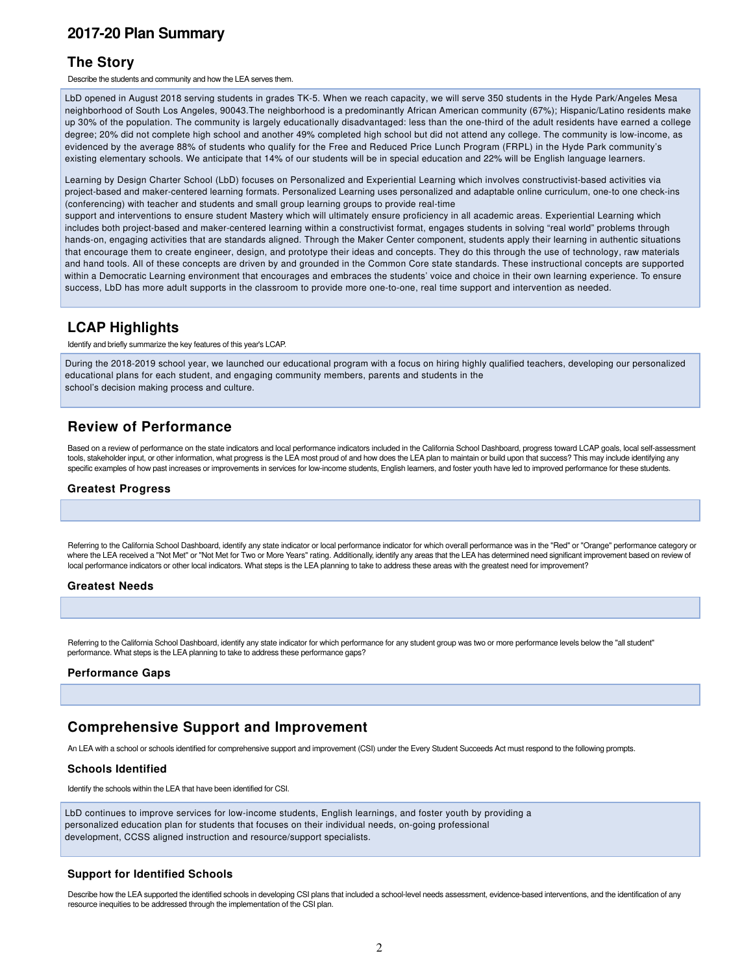#### **[2017-20 Plan Summary](http://ito.lacoe.edu/)**

#### **The Story**

Describe the students and community and how the LEA serves them.

LbD opened in August 2018 serving students in grades TK-5. When we reach capacity, we will serve 350 students in the Hyde Park/Angeles Mesa neighborhood of South Los Angeles, 90043.The neighborhood is a predominantly African American community (67%); Hispanic/Latino residents make up 30% of the population. The community is largely educationally disadvantaged: less than the one-third of the adult residents have earned a college degree; 20% did not complete high school and another 49% completed high school but did not attend any college. The community is low-income, as evidenced by the average 88% of students who qualify for the Free and Reduced Price Lunch Program (FRPL) in the Hyde Park community's existing elementary schools. We anticipate that 14% of our students will be in special education and 22% will be English language learners.

Learning by Design Charter School (LbD) focuses on Personalized and Experiential Learning which involves constructivist-based activities via project-based and maker-centered learning formats. Personalized Learning uses personalized and adaptable online curriculum, one-to one check-ins (conferencing) with teacher and students and small group learning groups to provide real-time

support and interventions to ensure student Mastery which will ultimately ensure proficiency in all academic areas. Experiential Learning which includes both project-based and maker-centered learning within a constructivist format, engages students in solving "real world" problems through hands-on, engaging activities that are standards aligned. Through the Maker Center component, students apply their learning in authentic situations that encourage them to create engineer, design, and prototype their ideas and concepts. They do this through the use of technology, raw materials and hand tools. All of these concepts are driven by and grounded in the Common Core state standards. These instructional concepts are supported within a Democratic Learning environment that encourages and embraces the students' voice and choice in their own learning experience. To ensure success, LbD has more adult supports in the classroom to provide more one-to-one, real time support and intervention as needed.

#### **LCAP Highlights**

Identify and briefly summarize the key features of this year's LCAP.

During the 2018-2019 school year, we launched our educational program with a focus on hiring highly qualified teachers, developing our personalized educational plans for each student, and engaging community members, parents and students in the school's decision making process and culture.

#### **Review of Performance**

Based on a review of performance on the state indicators and local performance indicators included in the California School Dashboard, progress toward LCAP goals, local self-assessment tools, stakeholder input, or other information, what progress is the LEA most proud of and how does the LEA plan to maintain or build upon that success? This may include identifying any specific examples of how past increases or improvements in services for low-income students, English learners, and foster youth have led to improved performance for these students.

#### **Greatest Progress**

Referring to the California School Dashboard, identify any state indicator or local performance indicator for which overall performance was in the "Red" or "Orange" performance category or where the LEA received a "Not Met" or "Not Met for Two or More Years" rating. Additionally, identify any areas that the LEA has determined need significant improvement based on review of local performance indicators or other local indicators. What steps is the LEA planning to take to address these areas with the greatest need for improvement?

#### **Greatest Needs**

Referring to the California School Dashboard, identify any state indicator for which performance for any student group was two or more performance levels below the "all student" performance. What steps is the LEA planning to take to address these performance gaps?

#### **Performance Gaps**

#### **Comprehensive Support and Improvement**

An LEA with a school or schools identified for comprehensive support and improvement (CSI) under the Every Student Succeeds Act must respond to the following prompts.

#### **Schools Identified**

Identify the schools within the LEA that have been identified for CSI.

LbD continues to improve services for low-income students, English learnings, and foster youth by providing a personalized education plan for students that focuses on their individual needs, on-going professional development, CCSS aligned instruction and resource/support specialists.

#### **Support for Identified Schools**

Describe how the LEA supported the identified schools in developing CSI plans that included a school-level needs assessment, evidence-based interventions, and the identification of any resource inequities to be addressed through the implementation of the CSI plan.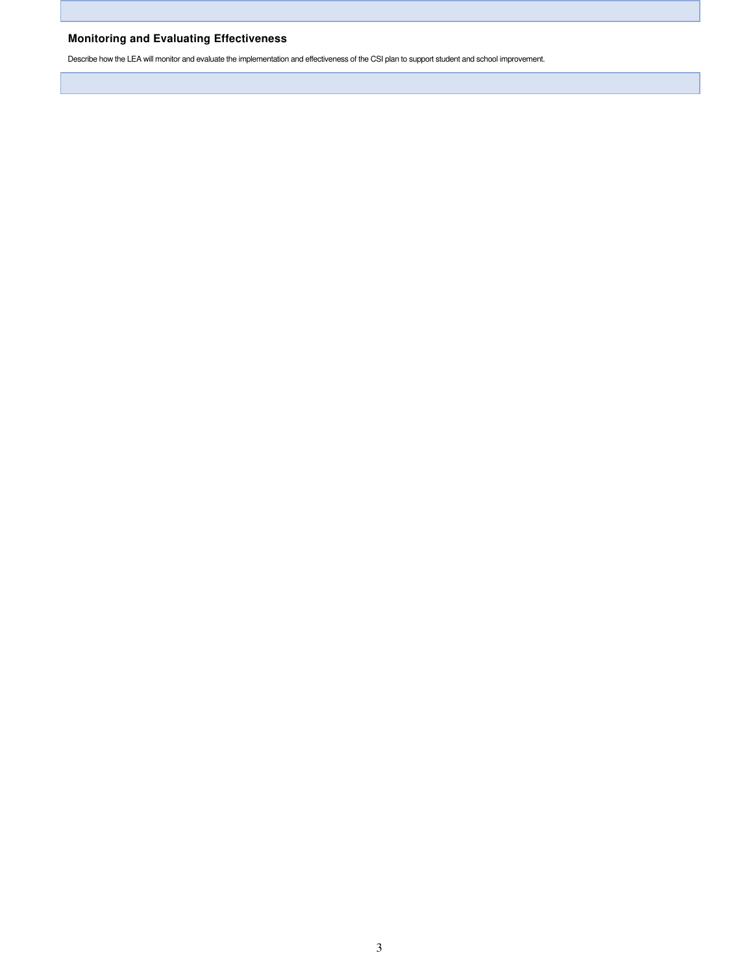#### **Monitoring and Evaluating Effectiveness**

Describe how the LEA will monitor and evaluate the implementation and effectiveness of the CSI plan to support student and school improvement.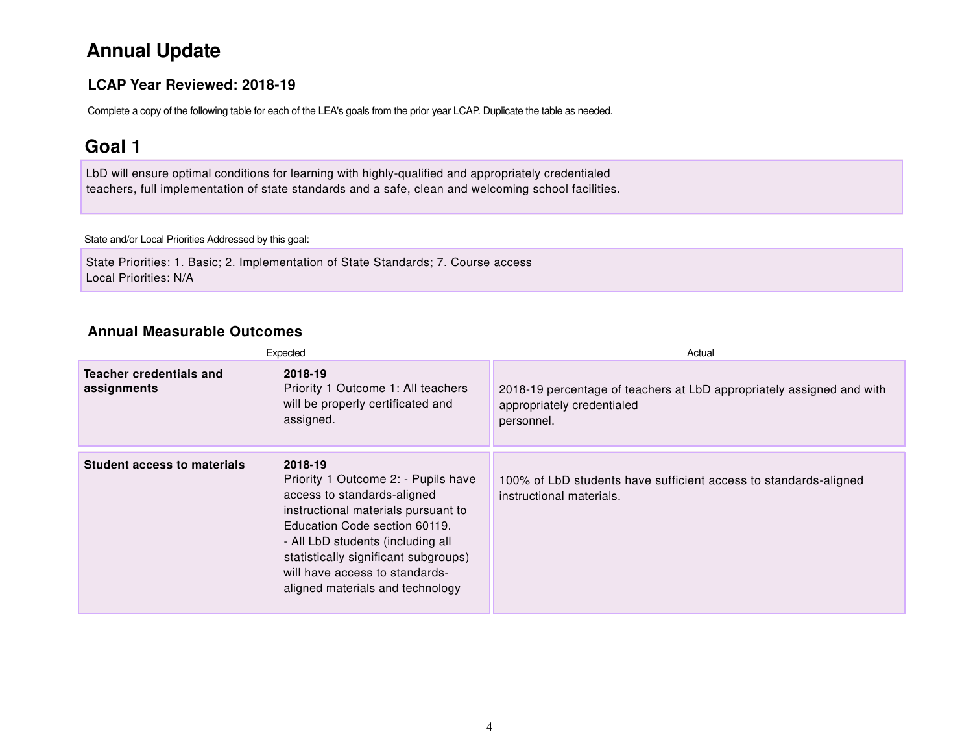## **Annual Update**

#### **LCAP Year Reviewed: 2018-19**

Complete a copy of the following table for each of the LEA's goals from the prior year LCAP. Duplicate the table as needed.

## **Goal 1**

LbD will ensure optimal conditions for learning with highly-qualified and appropriately credentialed teachers, full implementation of state standards and a safe, clean and welcoming school facilities.

#### State and/or Local Priorities Addressed by this goal:

State Priorities: 1. Basic; 2. Implementation of State Standards; 7. Course access Local Priorities: N/A

#### **Annual Measurable Outcomes**

|                                        | Expected                                                                                                                                                                                                                                                                                                 | Actual                                                                                                            |
|----------------------------------------|----------------------------------------------------------------------------------------------------------------------------------------------------------------------------------------------------------------------------------------------------------------------------------------------------------|-------------------------------------------------------------------------------------------------------------------|
| Teacher credentials and<br>assignments | 2018-19<br>Priority 1 Outcome 1: All teachers<br>will be properly certificated and<br>assigned.                                                                                                                                                                                                          | 2018-19 percentage of teachers at LbD appropriately assigned and with<br>appropriately credentialed<br>personnel. |
| <b>Student access to materials</b>     | 2018-19<br>Priority 1 Outcome 2: - Pupils have<br>access to standards-aligned<br>instructional materials pursuant to<br>Education Code section 60119.<br>- All LbD students (including all<br>statistically significant subgroups)<br>will have access to standards-<br>aligned materials and technology | 100% of LbD students have sufficient access to standards-aligned<br>instructional materials.                      |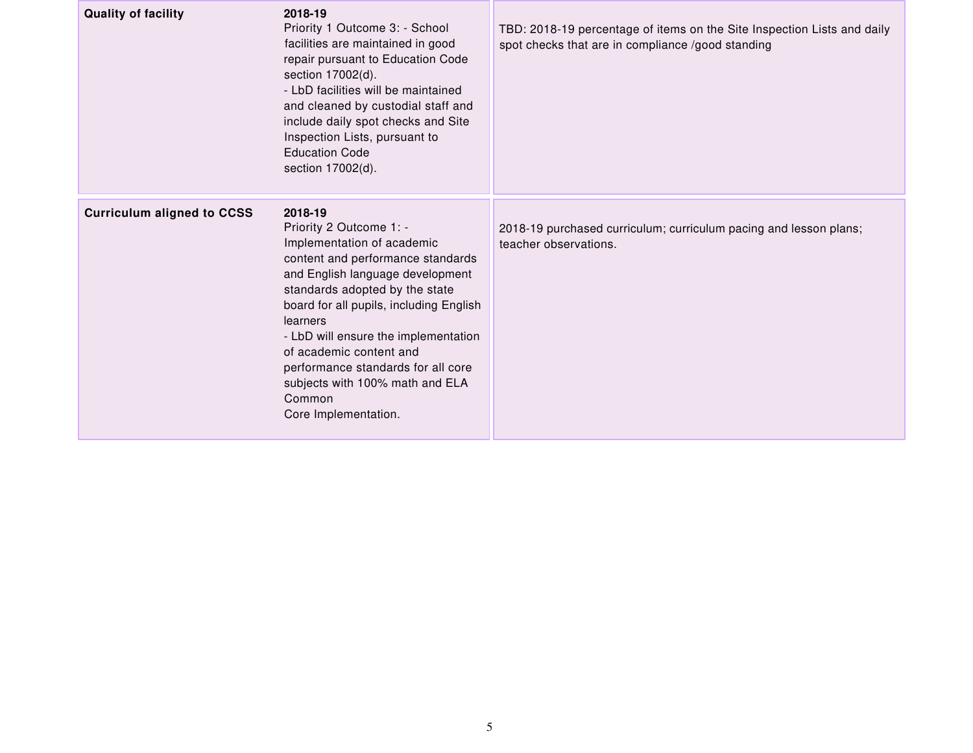| <b>Quality of facility</b>        | 2018-19<br>Priority 1 Outcome 3: - School<br>facilities are maintained in good<br>repair pursuant to Education Code<br>section 17002(d).<br>- LbD facilities will be maintained<br>and cleaned by custodial staff and<br>include daily spot checks and Site<br>Inspection Lists, pursuant to<br><b>Education Code</b><br>section 17002(d).                                                                       | TBD: 2018-19 percentage of items on the Site Inspection Lists and daily<br>spot checks that are in compliance /good standing |
|-----------------------------------|------------------------------------------------------------------------------------------------------------------------------------------------------------------------------------------------------------------------------------------------------------------------------------------------------------------------------------------------------------------------------------------------------------------|------------------------------------------------------------------------------------------------------------------------------|
| <b>Curriculum aligned to CCSS</b> | 2018-19<br>Priority 2 Outcome 1: -<br>Implementation of academic<br>content and performance standards<br>and English language development<br>standards adopted by the state<br>board for all pupils, including English<br>learners<br>- LbD will ensure the implementation<br>of academic content and<br>performance standards for all core<br>subjects with 100% math and ELA<br>Common<br>Core Implementation. | 2018-19 purchased curriculum; curriculum pacing and lesson plans;<br>teacher observations.                                   |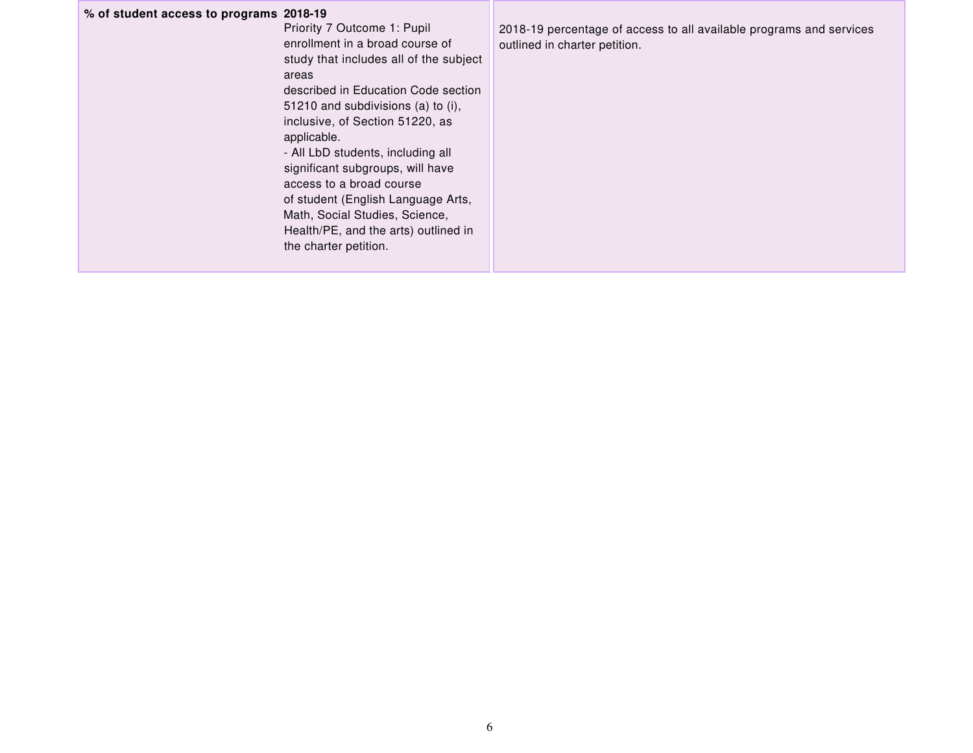#### **% of student access to programs 2018-19**

Priority 7 Outcome 1: Pupil enrollment in a broad course of study that includes all of the subject areas described in Education Code section 51210 and subdivisions (a) to (i), inclusive, of Section 51220, as applicable. - All LbD students, including all significant subgroups, will have access to a broad course

of student (English Language Arts, Math, Social Studies, Science, Health/PE, and the arts) outlined in the charter petition.

2018-19 percentage of access to all available programs and services outlined in charter petition.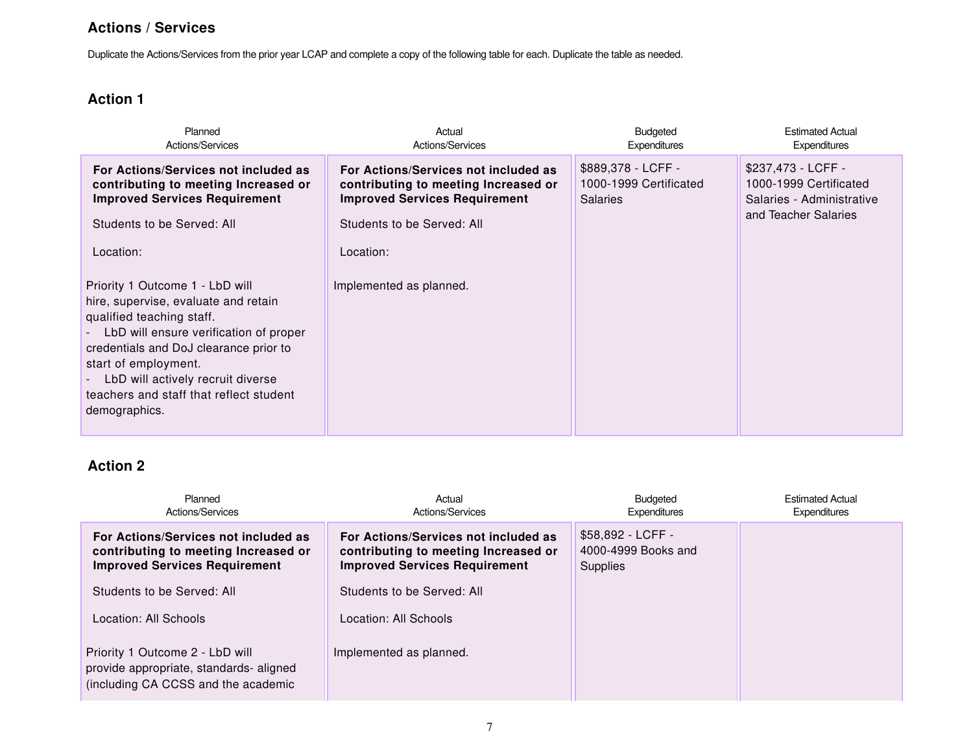#### **Actions / Services**

Duplicate the Actions/Services from the prior year LCAP and complete a copy of the following table for each. Duplicate the table as needed.

### **Action 1**

| Planned<br>Actions/Services                                                                                                                                                                                                                                                                                       | Actual<br>Actions/Services                                                                                                                                                                 | <b>Budgeted</b><br><b>Expenditures</b>                          | <b>Estimated Actual</b><br><b>Expenditures</b>                                                    |
|-------------------------------------------------------------------------------------------------------------------------------------------------------------------------------------------------------------------------------------------------------------------------------------------------------------------|--------------------------------------------------------------------------------------------------------------------------------------------------------------------------------------------|-----------------------------------------------------------------|---------------------------------------------------------------------------------------------------|
| For Actions/Services not included as<br>contributing to meeting Increased or<br><b>Improved Services Requirement</b><br>Students to be Served: All<br>Location:<br>Priority 1 Outcome 1 - LbD will<br>hire, supervise, evaluate and retain<br>qualified teaching staff.<br>LbD will ensure verification of proper | For Actions/Services not included as<br>contributing to meeting Increased or<br><b>Improved Services Requirement</b><br>Students to be Served: All<br>Location:<br>Implemented as planned. | \$889,378 - LCFF -<br>1000-1999 Certificated<br><b>Salaries</b> | \$237,473 - LCFF -<br>1000-1999 Certificated<br>Salaries - Administrative<br>and Teacher Salaries |
| credentials and DoJ clearance prior to<br>start of employment.<br>LbD will actively recruit diverse<br>$\blacksquare$<br>teachers and staff that reflect student<br>demographics.                                                                                                                                 |                                                                                                                                                                                            |                                                                 |                                                                                                   |

| Planned<br>Actions/Services                                                                                          | Actual<br>Actions/Services                                                                                           | <b>Budgeted</b><br>Expenditures                      | <b>Estimated Actual</b><br>Expenditures |
|----------------------------------------------------------------------------------------------------------------------|----------------------------------------------------------------------------------------------------------------------|------------------------------------------------------|-----------------------------------------|
| For Actions/Services not included as<br>contributing to meeting Increased or<br><b>Improved Services Requirement</b> | For Actions/Services not included as<br>contributing to meeting Increased or<br><b>Improved Services Requirement</b> | \$58,892 - LCFF -<br>4000-4999 Books and<br>Supplies |                                         |
| Students to be Served: All                                                                                           | Students to be Served: All                                                                                           |                                                      |                                         |
| Location: All Schools                                                                                                | Location: All Schools                                                                                                |                                                      |                                         |
| Priority 1 Outcome 2 - LbD will<br>provide appropriate, standards-aligned<br>(including CA CCSS and the academic     | Implemented as planned.                                                                                              |                                                      |                                         |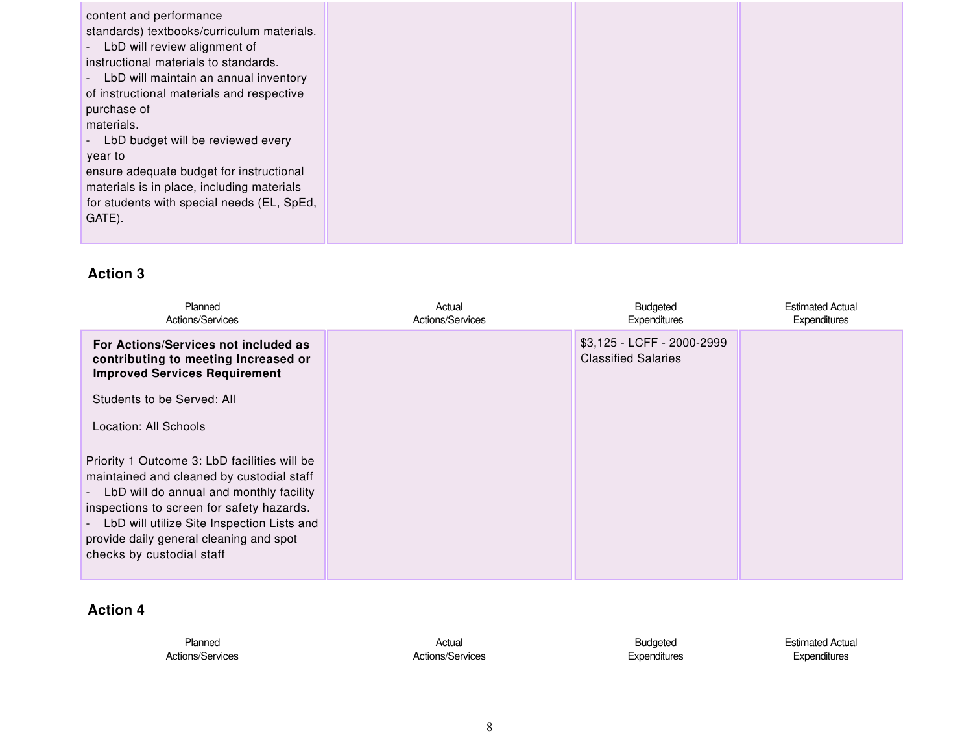| content and performance                         |  |  |
|-------------------------------------------------|--|--|
| standards) textbooks/curriculum materials.      |  |  |
| LbD will review alignment of<br>$\sim 100$      |  |  |
| instructional materials to standards.           |  |  |
| LbD will maintain an annual inventory<br>$\sim$ |  |  |
| of instructional materials and respective       |  |  |
| purchase of                                     |  |  |
| materials.                                      |  |  |
| LbD budget will be reviewed every               |  |  |
| year to                                         |  |  |
| ensure adequate budget for instructional        |  |  |
| materials is in place, including materials      |  |  |
| for students with special needs (EL, SpEd,      |  |  |
| GATE).                                          |  |  |
|                                                 |  |  |
|                                                 |  |  |

| Planned<br>Actions/Services                                                                                                                                                                                                                                                                                                         | Actual<br>Actions/Services | <b>Budgeted</b><br><b>Expenditures</b>                   | <b>Estimated Actual</b><br>Expenditures |
|-------------------------------------------------------------------------------------------------------------------------------------------------------------------------------------------------------------------------------------------------------------------------------------------------------------------------------------|----------------------------|----------------------------------------------------------|-----------------------------------------|
| For Actions/Services not included as<br>contributing to meeting Increased or<br><b>Improved Services Requirement</b>                                                                                                                                                                                                                |                            | \$3,125 - LCFF - 2000-2999<br><b>Classified Salaries</b> |                                         |
| Students to be Served: All                                                                                                                                                                                                                                                                                                          |                            |                                                          |                                         |
| Location: All Schools                                                                                                                                                                                                                                                                                                               |                            |                                                          |                                         |
| Priority 1 Outcome 3: LbD facilities will be<br>maintained and cleaned by custodial staff<br>LbD will do annual and monthly facility<br>$\overline{\phantom{0}}$<br>inspections to screen for safety hazards.<br>LbD will utilize Site Inspection Lists and<br>provide daily general cleaning and spot<br>checks by custodial staff |                            |                                                          |                                         |

| Planned          | Actual                  | <b>Budgeted</b>     | <b>Estimated Actual</b> |
|------------------|-------------------------|---------------------|-------------------------|
| Actions/Services | <b>Actions/Services</b> | <b>Expenditures</b> | <b>Expenditures</b>     |
|                  |                         |                     |                         |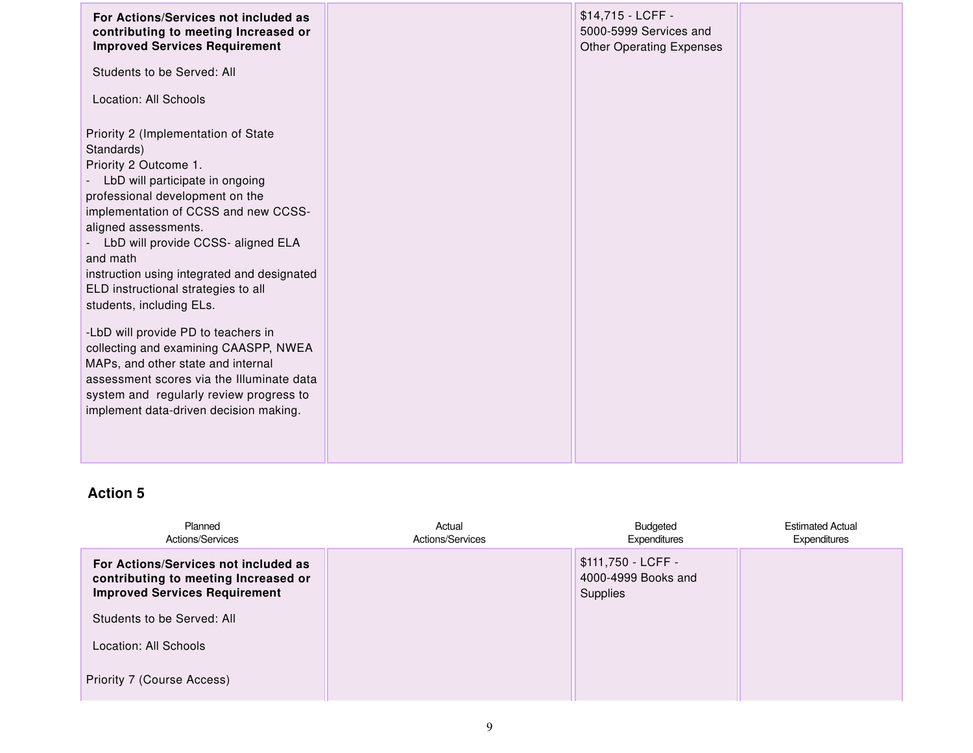| For Actions/Services not included as<br>contributing to meeting Increased or<br><b>Improved Services Requirement</b>                                                                                                                                                                                                                                                                                                                                                                                                                                                                                                                         | \$14,715 - LCFF -<br>5000-5999 Services and<br><b>Other Operating Expenses</b> |  |
|----------------------------------------------------------------------------------------------------------------------------------------------------------------------------------------------------------------------------------------------------------------------------------------------------------------------------------------------------------------------------------------------------------------------------------------------------------------------------------------------------------------------------------------------------------------------------------------------------------------------------------------------|--------------------------------------------------------------------------------|--|
| Students to be Served: All                                                                                                                                                                                                                                                                                                                                                                                                                                                                                                                                                                                                                   |                                                                                |  |
| Location: All Schools                                                                                                                                                                                                                                                                                                                                                                                                                                                                                                                                                                                                                        |                                                                                |  |
| Priority 2 (Implementation of State<br>Standards)<br>Priority 2 Outcome 1.<br>LbD will participate in ongoing<br>professional development on the<br>implementation of CCSS and new CCSS-<br>aligned assessments.<br>LbD will provide CCSS- aligned ELA<br>and math<br>instruction using integrated and designated<br>ELD instructional strategies to all<br>students, including ELs.<br>-LbD will provide PD to teachers in<br>collecting and examining CAASPP, NWEA<br>MAPs, and other state and internal<br>assessment scores via the Illuminate data<br>system and regularly review progress to<br>implement data-driven decision making. |                                                                                |  |

| Planned<br>Actions/Services                                                                                          | Actual<br>Actions/Services | Budgeted<br>Expenditures                              | <b>Estimated Actual</b><br>Expenditures |
|----------------------------------------------------------------------------------------------------------------------|----------------------------|-------------------------------------------------------|-----------------------------------------|
| For Actions/Services not included as<br>contributing to meeting Increased or<br><b>Improved Services Requirement</b> |                            | \$111,750 - LCFF -<br>4000-4999 Books and<br>Supplies |                                         |
| Students to be Served: All                                                                                           |                            |                                                       |                                         |
| Location: All Schools                                                                                                |                            |                                                       |                                         |
| Priority 7 (Course Access)                                                                                           |                            |                                                       |                                         |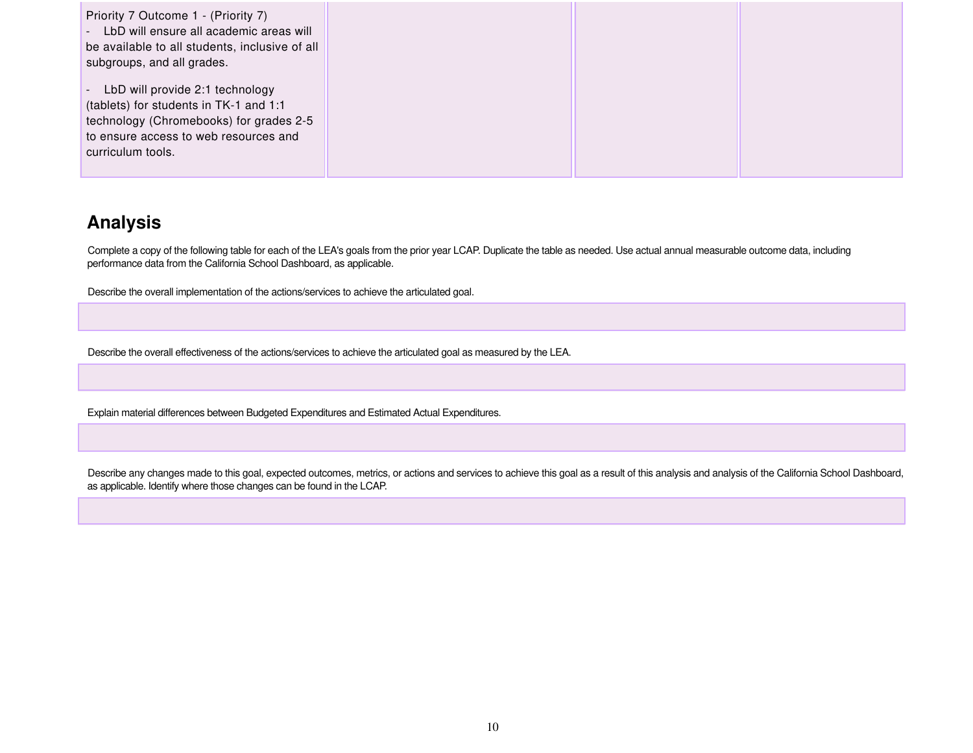| Priority 7 Outcome 1 - (Priority 7)<br>- LbD will ensure all academic areas will<br>be available to all students, inclusive of all<br>subgroups, and all grades.                     |  |  |
|--------------------------------------------------------------------------------------------------------------------------------------------------------------------------------------|--|--|
| - LbD will provide 2:1 technology<br>(tablets) for students in TK-1 and 1:1<br>technology (Chromebooks) for grades 2-5<br>to ensure access to web resources and<br>curriculum tools. |  |  |

## **Analysis**

Complete a copy of the following table for each of the LEA's goals from the prior year LCAP. Duplicate the table as needed. Use actual annual measurable outcome data, including performance data from the California School Dashboard, as applicable.

Describe the overall implementation of the actions/services to achieve the articulated goal.

Describe the overall effectiveness of the actions/services to achieve the articulated goal as measured by the LEA.

Explain material differences between Budgeted Expenditures and Estimated Actual Expenditures.

Describe any changes made to this goal, expected outcomes, metrics, or actions and services to achieve this goal as a result of this analysis and analysis of the California School Dashboard, as applicable. Identify where those changes can be found in the LCAP.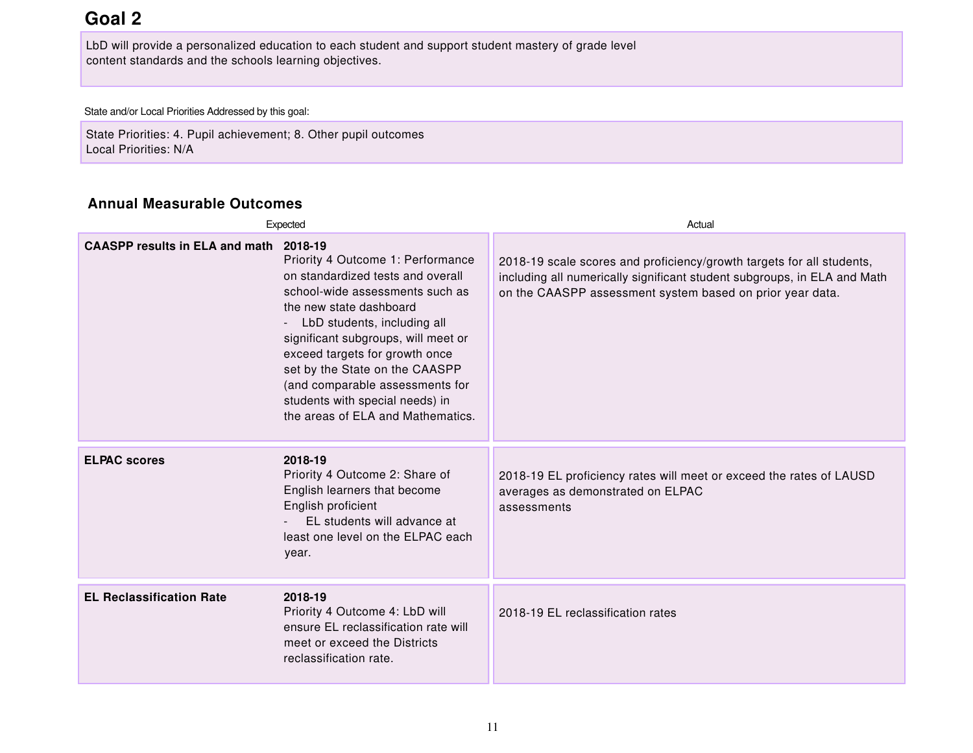## **Goal 2**

LbD will provide a personalized education to each student and support student mastery of grade level content standards and the schools learning objectives.

State and/or Local Priorities Addressed by this goal:

State Priorities: 4. Pupil achievement; 8. Other pupil outcomes Local Priorities: N/A

#### **Annual Measurable Outcomes**

|                                        | Expected                                                                                                                                                                                                                                                                                                                                                                                  | Actual                                                                                                                                                                                                         |  |
|----------------------------------------|-------------------------------------------------------------------------------------------------------------------------------------------------------------------------------------------------------------------------------------------------------------------------------------------------------------------------------------------------------------------------------------------|----------------------------------------------------------------------------------------------------------------------------------------------------------------------------------------------------------------|--|
| CAASPP results in ELA and math 2018-19 | Priority 4 Outcome 1: Performance<br>on standardized tests and overall<br>school-wide assessments such as<br>the new state dashboard<br>LbD students, including all<br>significant subgroups, will meet or<br>exceed targets for growth once<br>set by the State on the CAASPP<br>(and comparable assessments for<br>students with special needs) in<br>the areas of ELA and Mathematics. | 2018-19 scale scores and proficiency/growth targets for all students,<br>including all numerically significant student subgroups, in ELA and Math<br>on the CAASPP assessment system based on prior year data. |  |
| <b>ELPAC scores</b>                    | 2018-19<br>Priority 4 Outcome 2: Share of<br>English learners that become<br>English proficient<br>EL students will advance at<br>least one level on the ELPAC each<br>year.                                                                                                                                                                                                              | 2018-19 EL proficiency rates will meet or exceed the rates of LAUSD<br>averages as demonstrated on ELPAC<br>assessments                                                                                        |  |
| <b>EL Reclassification Rate</b>        | 2018-19<br>Priority 4 Outcome 4: LbD will<br>ensure EL reclassification rate will<br>meet or exceed the Districts<br>reclassification rate.                                                                                                                                                                                                                                               | 2018-19 EL reclassification rates                                                                                                                                                                              |  |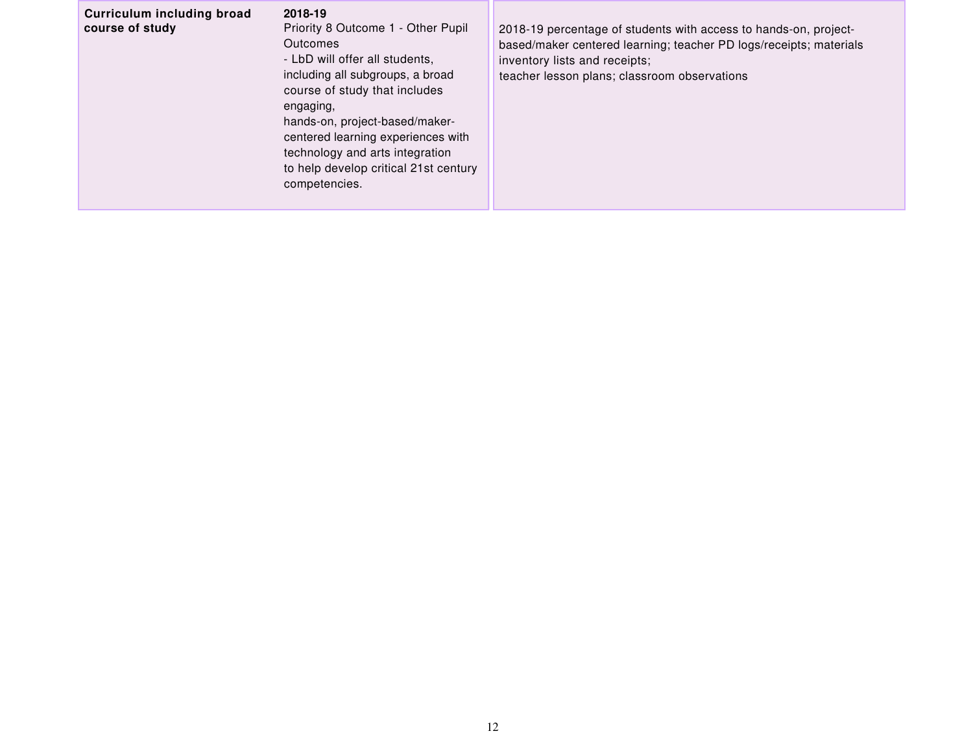| Curriculum including broad<br>2018-19<br>course of study<br>Priority 8 Outcome 1 - Other Pupil<br><b>Outcomes</b><br>- LbD will offer all students,<br>including all subgroups, a broad<br>course of study that includes<br>engaging,<br>hands-on, project-based/maker-<br>centered learning experiences with<br>technology and arts integration<br>to help develop critical 21st century<br>competencies. | 2018-19 percentage of students with access to hands-on, project-<br>based/maker centered learning; teacher PD logs/receipts; materials<br>inventory lists and receipts;<br>teacher lesson plans; classroom observations |
|------------------------------------------------------------------------------------------------------------------------------------------------------------------------------------------------------------------------------------------------------------------------------------------------------------------------------------------------------------------------------------------------------------|-------------------------------------------------------------------------------------------------------------------------------------------------------------------------------------------------------------------------|
|------------------------------------------------------------------------------------------------------------------------------------------------------------------------------------------------------------------------------------------------------------------------------------------------------------------------------------------------------------------------------------------------------------|-------------------------------------------------------------------------------------------------------------------------------------------------------------------------------------------------------------------------|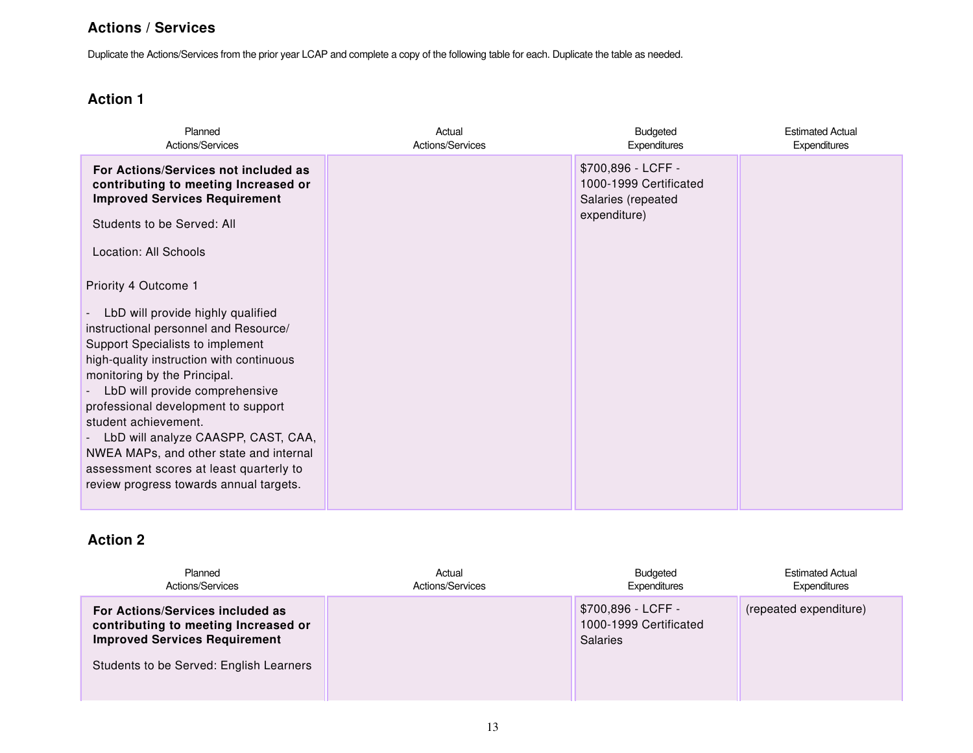#### **Actions / Services**

Duplicate the Actions/Services from the prior year LCAP and complete a copy of the following table for each. Duplicate the table as needed.

### **Action 1**

| Planned<br>Actions/Services                                                                                                                                                                                                                                                                                                                                                                                                                                                                 | Actual<br>Actions/Services | Budgeted<br><b>Expenditures</b>                                                    | <b>Estimated Actual</b><br>Expenditures |
|---------------------------------------------------------------------------------------------------------------------------------------------------------------------------------------------------------------------------------------------------------------------------------------------------------------------------------------------------------------------------------------------------------------------------------------------------------------------------------------------|----------------------------|------------------------------------------------------------------------------------|-----------------------------------------|
| For Actions/Services not included as<br>contributing to meeting Increased or<br><b>Improved Services Requirement</b><br>Students to be Served: All<br>Location: All Schools                                                                                                                                                                                                                                                                                                                 |                            | \$700,896 - LCFF -<br>1000-1999 Certificated<br>Salaries (repeated<br>expenditure) |                                         |
| Priority 4 Outcome 1<br>LbD will provide highly qualified<br>instructional personnel and Resource/<br>Support Specialists to implement<br>high-quality instruction with continuous<br>monitoring by the Principal.<br>LbD will provide comprehensive<br>professional development to support<br>student achievement.<br>LbD will analyze CAASPP, CAST, CAA,<br>NWEA MAPs, and other state and internal<br>assessment scores at least quarterly to<br>review progress towards annual targets. |                            |                                                                                    |                                         |

| Planned<br>Actions/Services                                                                                      | Actual<br>Actions/Services | <b>Budgeted</b><br>Expenditures                                 | <b>Estimated Actual</b><br>Expenditures |
|------------------------------------------------------------------------------------------------------------------|----------------------------|-----------------------------------------------------------------|-----------------------------------------|
| For Actions/Services included as<br>contributing to meeting Increased or<br><b>Improved Services Requirement</b> |                            | \$700,896 - LCFF -<br>1000-1999 Certificated<br><b>Salaries</b> | (repeated expenditure)                  |
| Students to be Served: English Learners                                                                          |                            |                                                                 |                                         |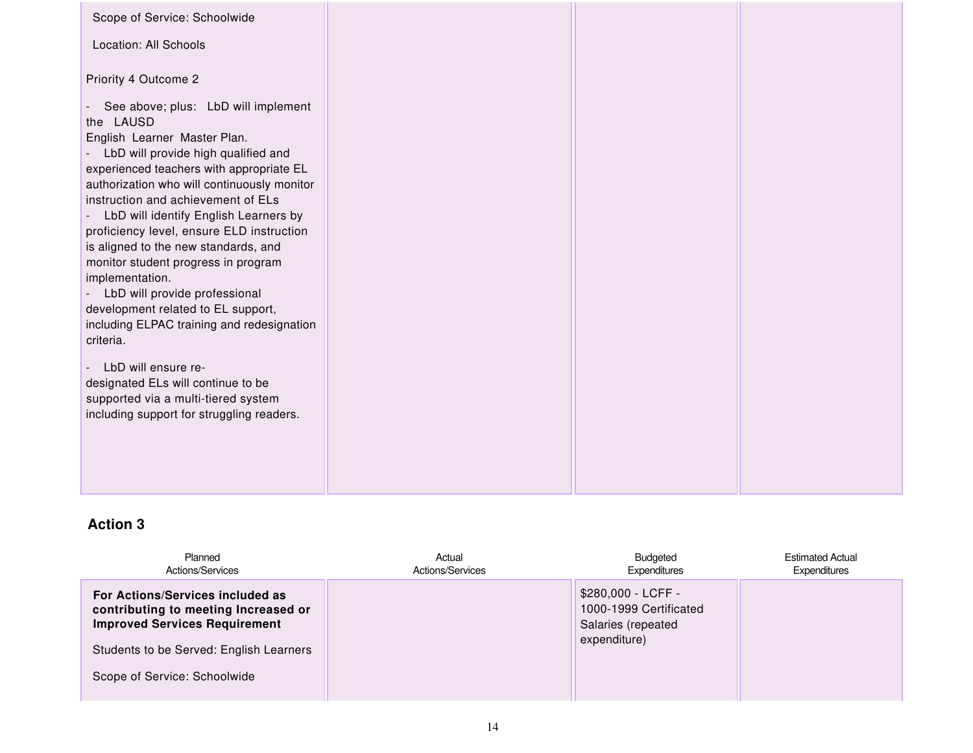| Scope of Service: Schoolwide<br>Location: All Schools                                                                                                                     |  |  |
|---------------------------------------------------------------------------------------------------------------------------------------------------------------------------|--|--|
| Priority 4 Outcome 2<br>- See above; plus: LbD will implement                                                                                                             |  |  |
| the LAUSD<br>English Learner Master Plan.<br>- LbD will provide high qualified and<br>experienced teachers with appropriate EL                                            |  |  |
| authorization who will continuously monitor<br>instruction and achievement of ELs<br>- LbD will identify English Learners by<br>proficiency level, ensure ELD instruction |  |  |
| is aligned to the new standards, and<br>monitor student progress in program<br>implementation.<br>- LbD will provide professional                                         |  |  |
| development related to EL support,<br>including ELPAC training and redesignation<br>criteria.                                                                             |  |  |
| - LbD will ensure re-<br>designated ELs will continue to be<br>supported via a multi-tiered system                                                                        |  |  |
| including support for struggling readers.                                                                                                                                 |  |  |
|                                                                                                                                                                           |  |  |

| Planned<br>Actions/Services                                                                                      | Actual<br>Actions/Services | <b>Budgeted</b><br>Expenditures                                    | <b>Estimated Actual</b><br>Expenditures |
|------------------------------------------------------------------------------------------------------------------|----------------------------|--------------------------------------------------------------------|-----------------------------------------|
| For Actions/Services included as<br>contributing to meeting Increased or<br><b>Improved Services Requirement</b> |                            | \$280,000 - LCFF -<br>1000-1999 Certificated<br>Salaries (repeated |                                         |
| Students to be Served: English Learners                                                                          |                            | expenditure)                                                       |                                         |
| Scope of Service: Schoolwide                                                                                     |                            |                                                                    |                                         |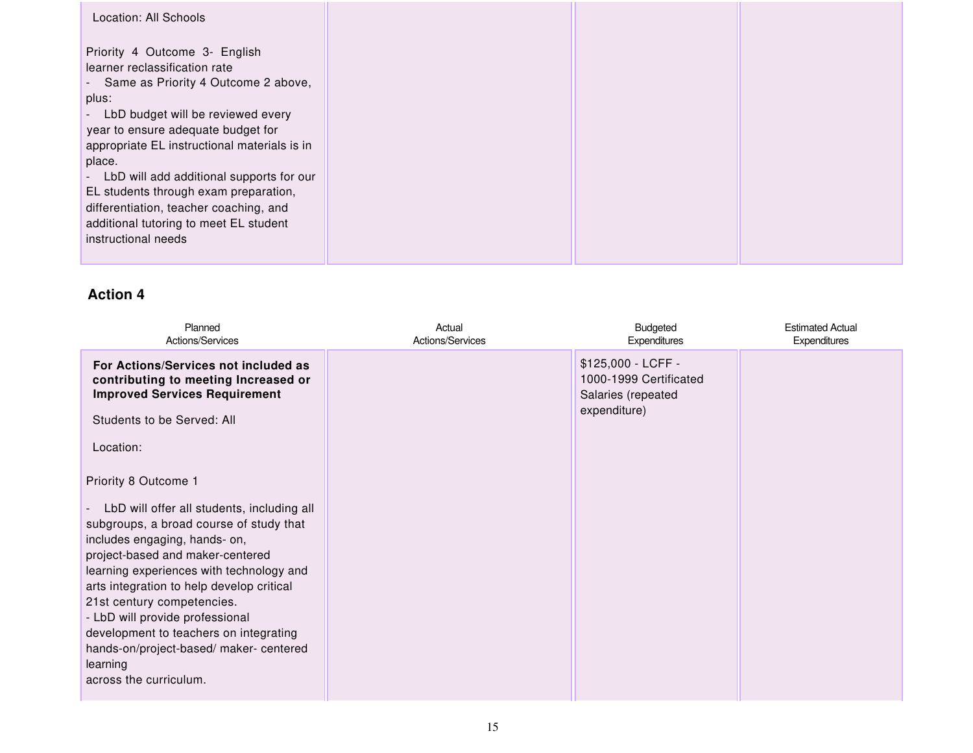| Location: All Schools                                                                                                                                                                                                                                                                                                                                                                                                                                             |  |  |
|-------------------------------------------------------------------------------------------------------------------------------------------------------------------------------------------------------------------------------------------------------------------------------------------------------------------------------------------------------------------------------------------------------------------------------------------------------------------|--|--|
| Priority 4 Outcome 3- English<br>learner reclassification rate<br>- Same as Priority 4 Outcome 2 above,<br>plus:<br>LbD budget will be reviewed every<br>$\sim$<br>year to ensure adequate budget for<br>appropriate EL instructional materials is in<br>place.<br>- LbD will add additional supports for our<br>EL students through exam preparation,<br>differentiation, teacher coaching, and<br>additional tutoring to meet EL student<br>instructional needs |  |  |
|                                                                                                                                                                                                                                                                                                                                                                                                                                                                   |  |  |

| Planned<br>Actions/Services                                                                                                                                                                                                                                                                                                                                                                                                                                                                                                                                                                                                                  | Actual<br>Actions/Services | Budgeted<br><b>Expenditures</b>                                                    | <b>Estimated Actual</b><br><b>Expenditures</b> |
|----------------------------------------------------------------------------------------------------------------------------------------------------------------------------------------------------------------------------------------------------------------------------------------------------------------------------------------------------------------------------------------------------------------------------------------------------------------------------------------------------------------------------------------------------------------------------------------------------------------------------------------------|----------------------------|------------------------------------------------------------------------------------|------------------------------------------------|
| For Actions/Services not included as<br>contributing to meeting Increased or<br><b>Improved Services Requirement</b><br>Students to be Served: All<br>Location:<br>Priority 8 Outcome 1<br>LbD will offer all students, including all<br>$\overline{\phantom{0}}$<br>subgroups, a broad course of study that<br>includes engaging, hands- on,<br>project-based and maker-centered<br>learning experiences with technology and<br>arts integration to help develop critical<br>21st century competencies.<br>- LbD will provide professional<br>development to teachers on integrating<br>hands-on/project-based/ maker- centered<br>learning |                            | \$125,000 - LCFF -<br>1000-1999 Certificated<br>Salaries (repeated<br>expenditure) |                                                |
| across the curriculum.                                                                                                                                                                                                                                                                                                                                                                                                                                                                                                                                                                                                                       |                            |                                                                                    |                                                |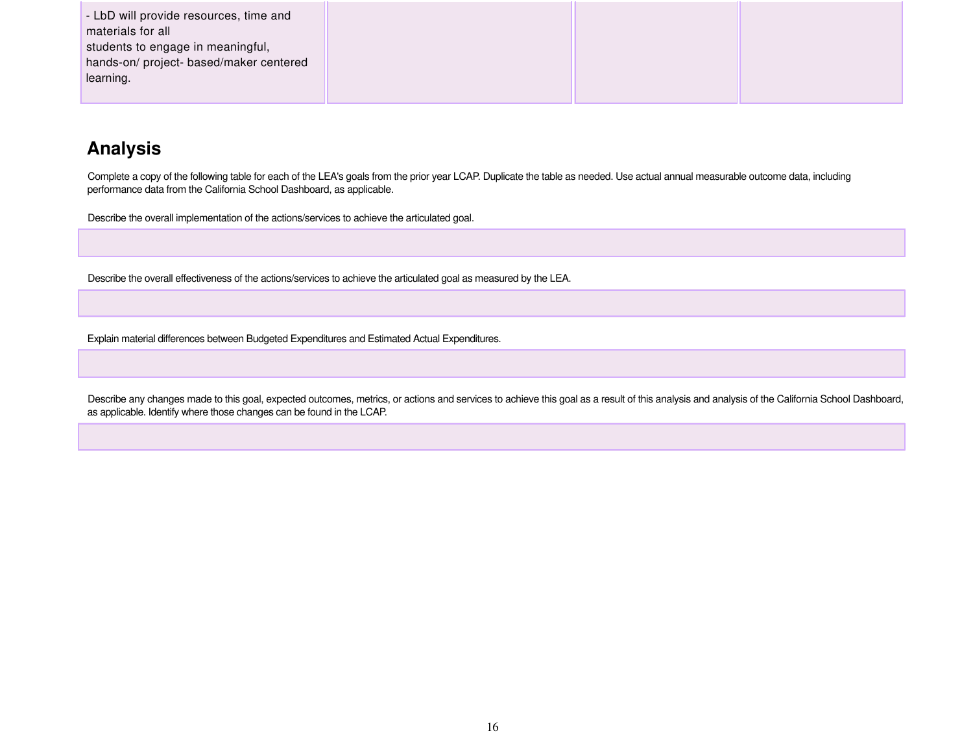| - LbD will provide resources, time and  |  |  |
|-----------------------------------------|--|--|
| materials for all                       |  |  |
| students to engage in meaningful,       |  |  |
| hands-on/ project- based/maker centered |  |  |
| learning.                               |  |  |
|                                         |  |  |

## **Analysis**

Complete a copy of the following table for each of the LEA's goals from the prior year LCAP. Duplicate the table as needed. Use actual annual measurable outcome data, including performance data from the California School Dashboard, as applicable.

Describe the overall implementation of the actions/services to achieve the articulated goal.

Describe the overall effectiveness of the actions/services to achieve the articulated goal as measured by the LEA.

Explain material differences between Budgeted Expenditures and Estimated Actual Expenditures.

Describe any changes made to this goal, expected outcomes, metrics, or actions and services to achieve this goal as a result of this analysis and analysis of the California School Dashboard, as applicable. Identify where those changes can be found in the LCAP.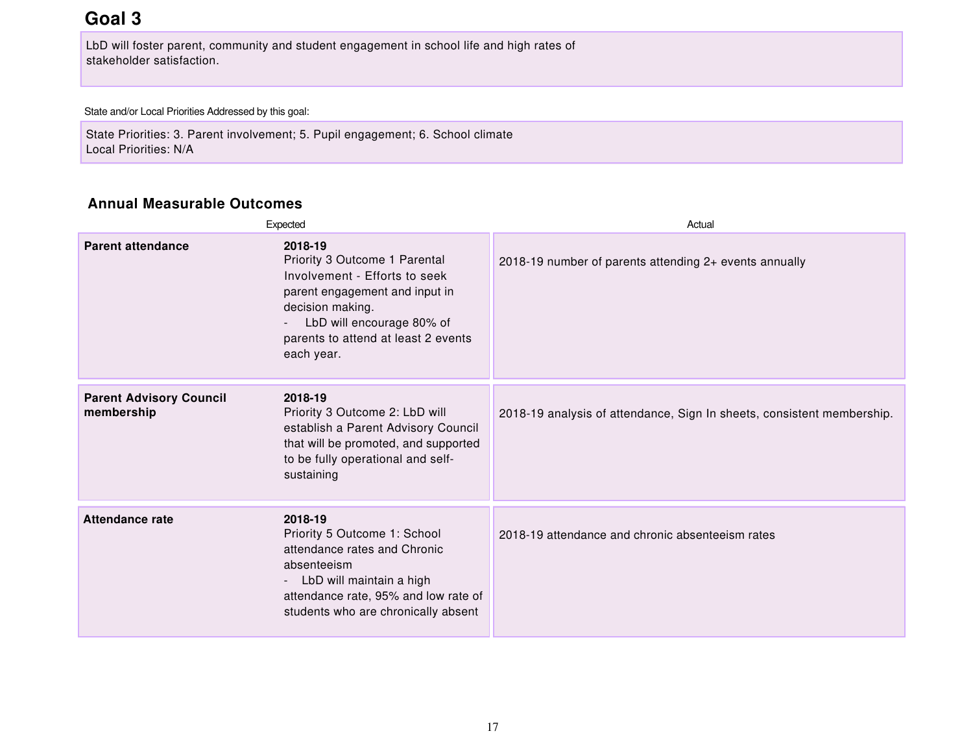## **Goal 3**

LbD will foster parent, community and student engagement in school life and high rates of stakeholder satisfaction.

State and/or Local Priorities Addressed by this goal:

State Priorities: 3. Parent involvement; 5. Pupil engagement; 6. School climate Local Priorities: N/A

#### **Annual Measurable Outcomes**

|                                              | Expected                                                                                                                                                                                                          | Actual                                                                 |
|----------------------------------------------|-------------------------------------------------------------------------------------------------------------------------------------------------------------------------------------------------------------------|------------------------------------------------------------------------|
| <b>Parent attendance</b>                     | 2018-19<br>Priority 3 Outcome 1 Parental<br>Involvement - Efforts to seek<br>parent engagement and input in<br>decision making.<br>LbD will encourage 80% of<br>parents to attend at least 2 events<br>each year. | 2018-19 number of parents attending 2+ events annually                 |
| <b>Parent Advisory Council</b><br>membership | 2018-19<br>Priority 3 Outcome 2: LbD will<br>establish a Parent Advisory Council<br>that will be promoted, and supported<br>to be fully operational and self-<br>sustaining                                       | 2018-19 analysis of attendance, Sign In sheets, consistent membership. |
| <b>Attendance rate</b>                       | 2018-19<br>Priority 5 Outcome 1: School<br>attendance rates and Chronic<br>absenteeism<br>- LbD will maintain a high<br>attendance rate, 95% and low rate of<br>students who are chronically absent               | 2018-19 attendance and chronic absenteeism rates                       |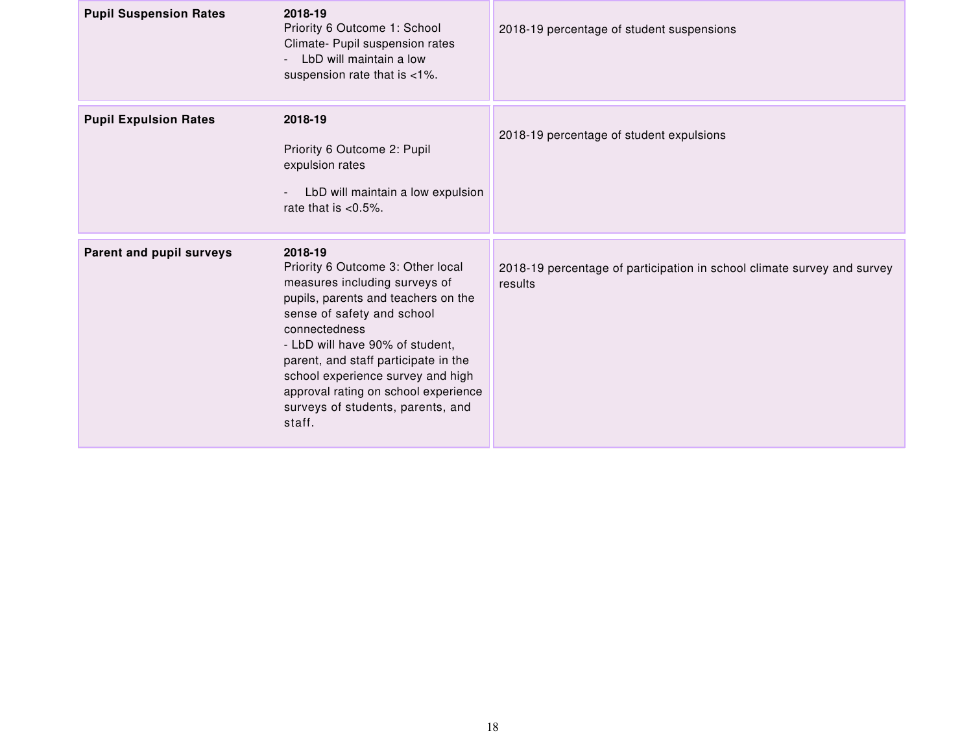| <b>Pupil Suspension Rates</b> | 2018-19<br>Priority 6 Outcome 1: School<br>Climate- Pupil suspension rates<br>LbD will maintain a low<br>suspension rate that is <1%.                                                                                                                                                                                                                                      | 2018-19 percentage of student suspensions                                          |
|-------------------------------|----------------------------------------------------------------------------------------------------------------------------------------------------------------------------------------------------------------------------------------------------------------------------------------------------------------------------------------------------------------------------|------------------------------------------------------------------------------------|
| <b>Pupil Expulsion Rates</b>  | 2018-19<br>Priority 6 Outcome 2: Pupil<br>expulsion rates<br>LbD will maintain a low expulsion<br>rate that is $< 0.5\%$ .                                                                                                                                                                                                                                                 | 2018-19 percentage of student expulsions                                           |
| Parent and pupil surveys      | 2018-19<br>Priority 6 Outcome 3: Other local<br>measures including surveys of<br>pupils, parents and teachers on the<br>sense of safety and school<br>connectedness<br>- LbD will have 90% of student,<br>parent, and staff participate in the<br>school experience survey and high<br>approval rating on school experience<br>surveys of students, parents, and<br>staff. | 2018-19 percentage of participation in school climate survey and survey<br>results |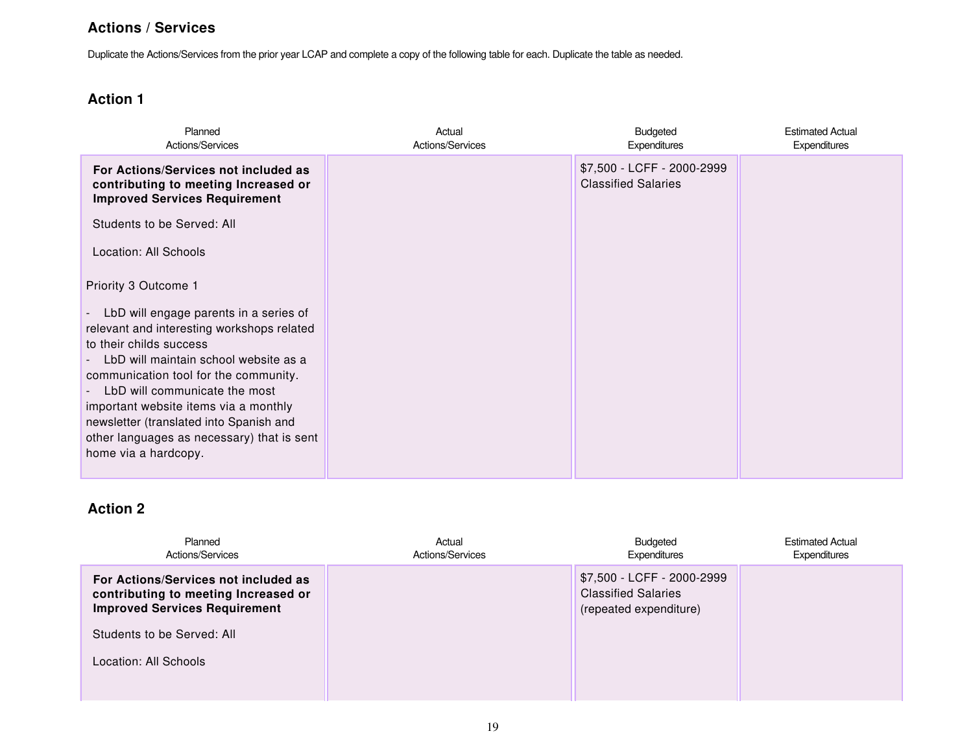#### **Actions / Services**

Duplicate the Actions/Services from the prior year LCAP and complete a copy of the following table for each. Duplicate the table as needed.

### **Action 1**

| Planned<br>Actions/Services                                                                                                                                                                                                                                                                                                                                                                                          | Actual<br>Actions/Services | Budgeted<br>Expenditures                                 | <b>Estimated Actual</b><br>Expenditures |
|----------------------------------------------------------------------------------------------------------------------------------------------------------------------------------------------------------------------------------------------------------------------------------------------------------------------------------------------------------------------------------------------------------------------|----------------------------|----------------------------------------------------------|-----------------------------------------|
| For Actions/Services not included as<br>contributing to meeting Increased or<br><b>Improved Services Requirement</b>                                                                                                                                                                                                                                                                                                 |                            | \$7,500 - LCFF - 2000-2999<br><b>Classified Salaries</b> |                                         |
| Students to be Served: All                                                                                                                                                                                                                                                                                                                                                                                           |                            |                                                          |                                         |
| Location: All Schools                                                                                                                                                                                                                                                                                                                                                                                                |                            |                                                          |                                         |
| Priority 3 Outcome 1<br>LbD will engage parents in a series of<br>relevant and interesting workshops related<br>to their childs success<br>LbD will maintain school website as a<br>communication tool for the community.<br>LbD will communicate the most<br>important website items via a monthly<br>newsletter (translated into Spanish and<br>other languages as necessary) that is sent<br>home via a hardcopy. |                            |                                                          |                                         |

| Planned<br>Actions/Services                                                                                          | Actual<br>Actions/Services | Budgeted<br>Expenditures                                                           | <b>Estimated Actual</b><br>Expenditures |
|----------------------------------------------------------------------------------------------------------------------|----------------------------|------------------------------------------------------------------------------------|-----------------------------------------|
| For Actions/Services not included as<br>contributing to meeting Increased or<br><b>Improved Services Requirement</b> |                            | \$7,500 - LCFF - 2000-2999<br><b>Classified Salaries</b><br>(repeated expenditure) |                                         |
| Students to be Served: All                                                                                           |                            |                                                                                    |                                         |
| Location: All Schools                                                                                                |                            |                                                                                    |                                         |
|                                                                                                                      |                            |                                                                                    |                                         |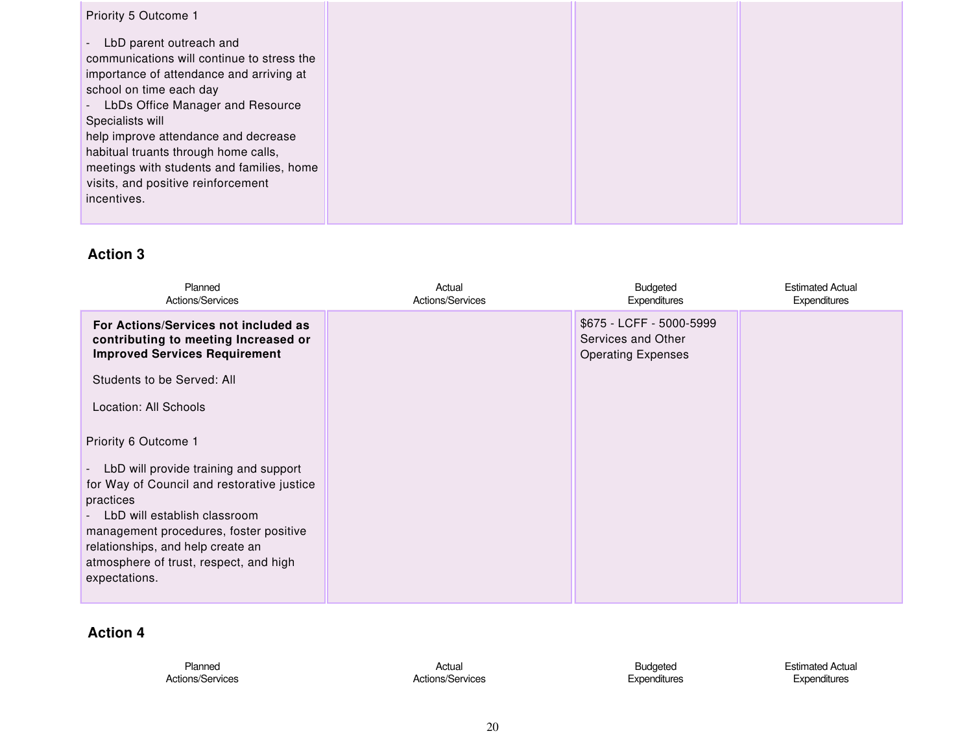| Priority 5 Outcome 1                                                                                                                                                                                                                                                                                                                                                                                               |  |  |
|--------------------------------------------------------------------------------------------------------------------------------------------------------------------------------------------------------------------------------------------------------------------------------------------------------------------------------------------------------------------------------------------------------------------|--|--|
| LbD parent outreach and<br>$\overline{\phantom{a}}$<br>communications will continue to stress the<br>importance of attendance and arriving at<br>school on time each day<br>LbDs Office Manager and Resource<br>Specialists will<br>help improve attendance and decrease<br>habitual truants through home calls,<br>meetings with students and families, home<br>visits, and positive reinforcement<br>incentives. |  |  |

| Planned<br>Actions/Services                                                                                                                                                                                                                                                                                                    | Actual<br>Actions/Services | Budgeted<br>Expenditures                                                    | <b>Estimated Actual</b><br>Expenditures |
|--------------------------------------------------------------------------------------------------------------------------------------------------------------------------------------------------------------------------------------------------------------------------------------------------------------------------------|----------------------------|-----------------------------------------------------------------------------|-----------------------------------------|
| For Actions/Services not included as<br>contributing to meeting Increased or<br><b>Improved Services Requirement</b>                                                                                                                                                                                                           |                            | \$675 - LCFF - 5000-5999<br>Services and Other<br><b>Operating Expenses</b> |                                         |
| Students to be Served: All                                                                                                                                                                                                                                                                                                     |                            |                                                                             |                                         |
| Location: All Schools                                                                                                                                                                                                                                                                                                          |                            |                                                                             |                                         |
| Priority 6 Outcome 1<br>LbD will provide training and support<br>$\overline{\phantom{a}}$<br>for Way of Council and restorative justice<br>practices<br>LbD will establish classroom<br>management procedures, foster positive<br>relationships, and help create an<br>atmosphere of trust, respect, and high<br>expectations. |                            |                                                                             |                                         |

| Planned          | Actual           | Budgeted     | <b>Estimated Actual</b> |
|------------------|------------------|--------------|-------------------------|
| Actions/Services | Actions/Services | Expenditures | <b>Expenditures</b>     |
|                  |                  |              |                         |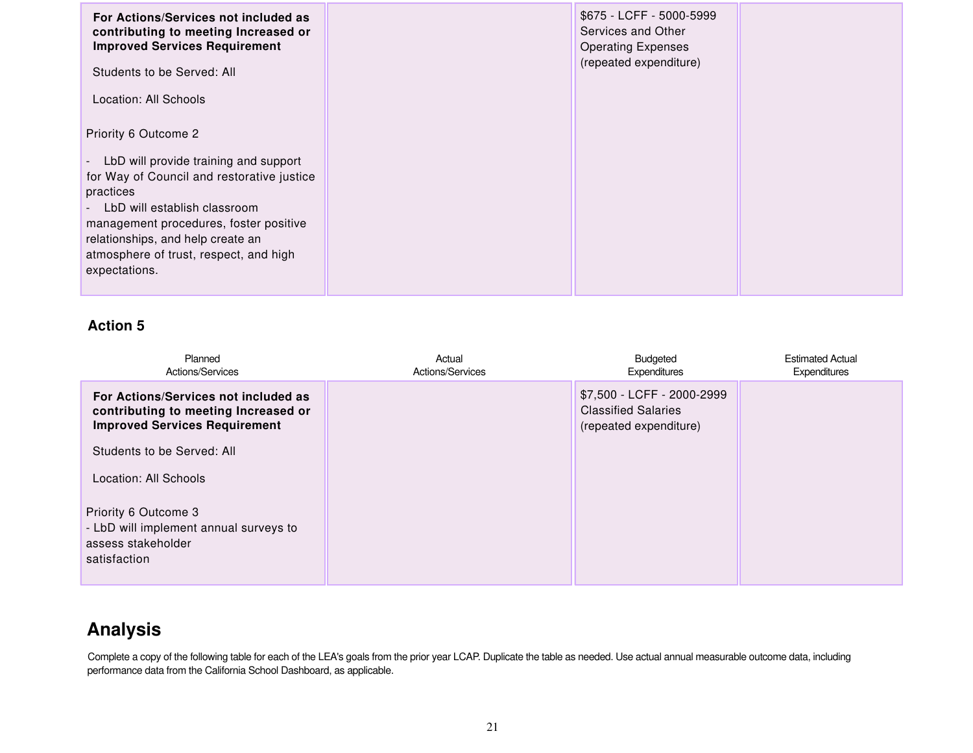| For Actions/Services not included as<br>contributing to meeting Increased or<br><b>Improved Services Requirement</b><br>Students to be Served: All                                                                                                                                                                       | \$675 - LCFF - 5000-5999<br>Services and Other<br><b>Operating Expenses</b><br>(repeated expenditure) |  |
|--------------------------------------------------------------------------------------------------------------------------------------------------------------------------------------------------------------------------------------------------------------------------------------------------------------------------|-------------------------------------------------------------------------------------------------------|--|
| Location: All Schools                                                                                                                                                                                                                                                                                                    |                                                                                                       |  |
| Priority 6 Outcome 2                                                                                                                                                                                                                                                                                                     |                                                                                                       |  |
| LbD will provide training and support<br>$\blacksquare$<br>for Way of Council and restorative justice<br>practices<br>LbD will establish classroom<br>$\overline{\phantom{0}}$<br>management procedures, foster positive<br>relationships, and help create an<br>atmosphere of trust, respect, and high<br>expectations. |                                                                                                       |  |

| Planned<br>Actions/Services                                                                                          | Actual<br>Actions/Services | Budgeted<br>Expenditures                                                           | <b>Estimated Actual</b><br>Expenditures |
|----------------------------------------------------------------------------------------------------------------------|----------------------------|------------------------------------------------------------------------------------|-----------------------------------------|
| For Actions/Services not included as<br>contributing to meeting Increased or<br><b>Improved Services Requirement</b> |                            | \$7,500 - LCFF - 2000-2999<br><b>Classified Salaries</b><br>(repeated expenditure) |                                         |
| Students to be Served: All                                                                                           |                            |                                                                                    |                                         |
| Location: All Schools                                                                                                |                            |                                                                                    |                                         |
| Priority 6 Outcome 3<br>- LbD will implement annual surveys to<br>assess stakeholder<br>satisfaction                 |                            |                                                                                    |                                         |

## **Analysis**

Complete a copy of the following table for each of the LEA's goals from the prior year LCAP. Duplicate the table as needed. Use actual annual measurable outcome data, including performance data from the California School Dashboard, as applicable.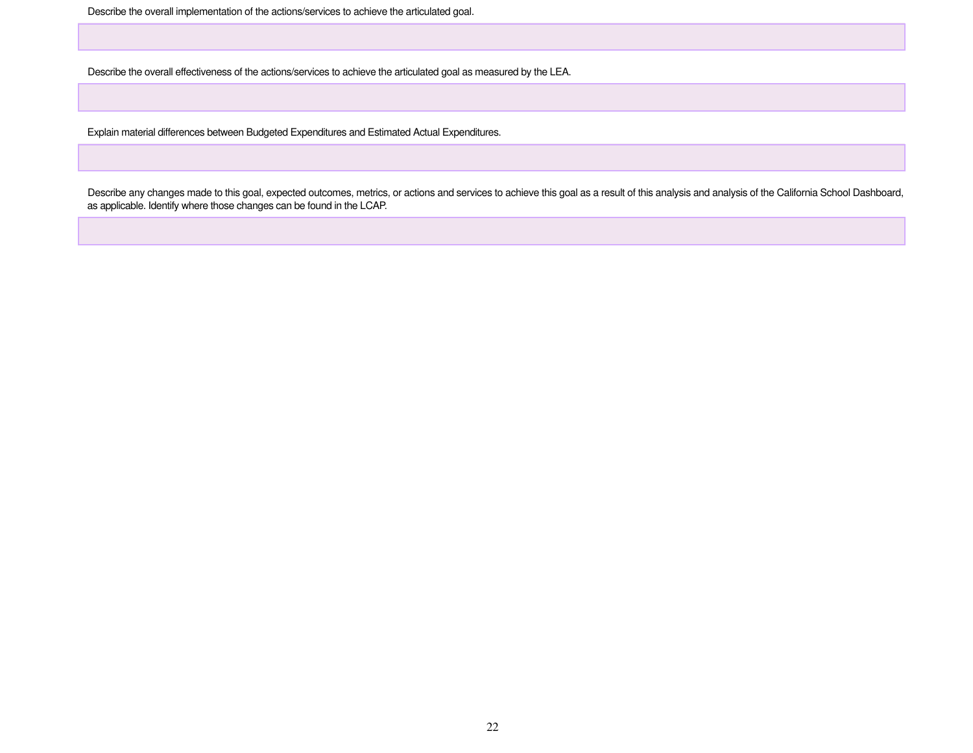Describe the overall implementation of the actions/services to achieve the articulated goal.

Describe the overall effectiveness of the actions/services to achieve the articulated goal as measured by the LEA.

Explain material differences between Budgeted Expenditures and Estimated Actual Expenditures.

Describe any changes made to this goal, expected outcomes, metrics, or actions and services to achieve this goal as a result of this analysis and analysis of the California School Dashboard, as applicable. Identify where those changes can be found in the LCAP.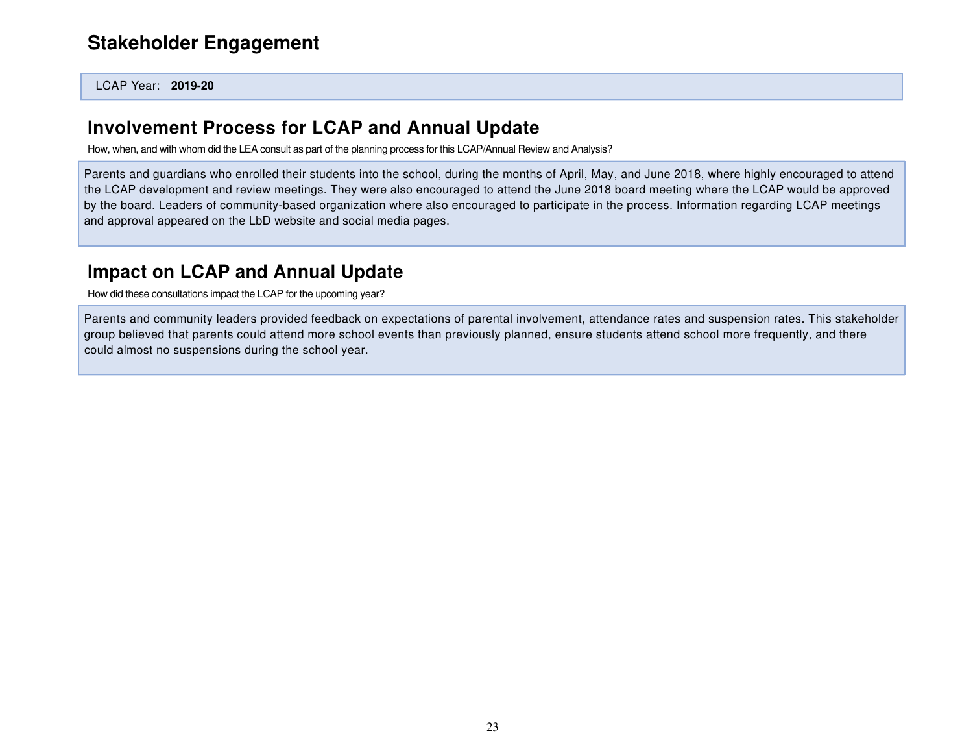## **[Stakeholder Engagement](http://ito.lacoe.edu/)**

LCAP Year: **2019-20**

### **Involvement Process for LCAP and Annual Update**

How, when, and with whom did the LEA consult as part of the planning process for this LCAP/Annual Review and Analysis?

Parents and guardians who enrolled their students into the school, during the months of April, May, and June 2018, where highly encouraged to attend the LCAP development and review meetings. They were also encouraged to attend the June 2018 board meeting where the LCAP would be approved by the board. Leaders of community-based organization where also encouraged to participate in the process. Information regarding LCAP meetings and approval appeared on the LbD website and social media pages.

## **Impact on LCAP and Annual Update**

How did these consultations impact the LCAP for the upcoming year?

Parents and community leaders provided feedback on expectations of parental involvement, attendance rates and suspension rates. This stakeholder group believed that parents could attend more school events than previously planned, ensure students attend school more frequently, and there could almost no suspensions during the school year.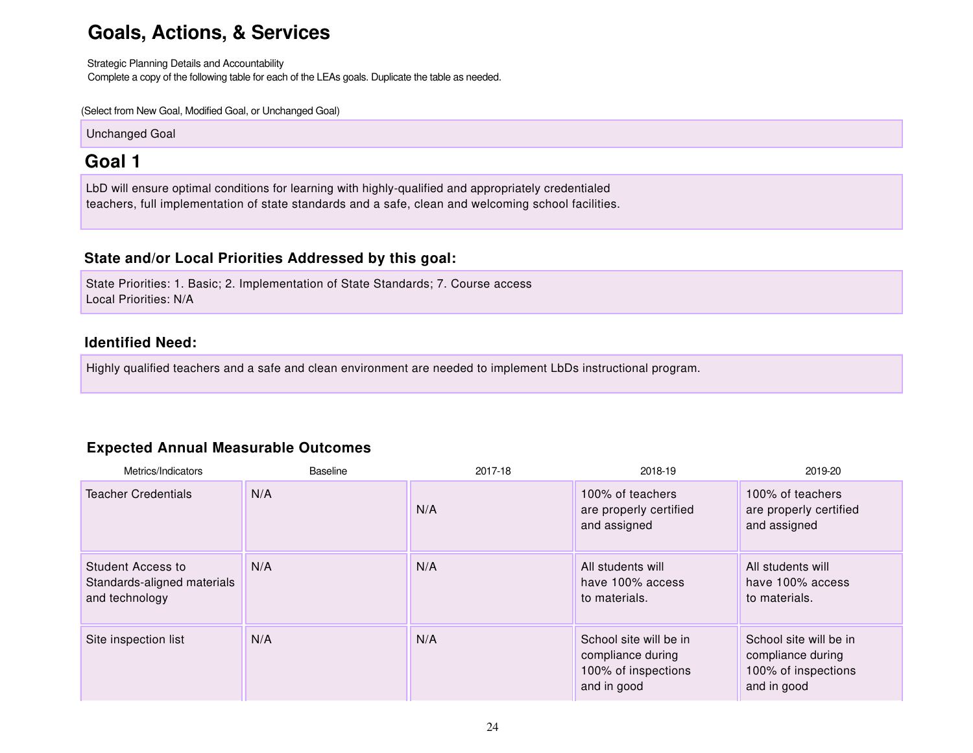## **Goals, Actions, & Services**

Strategic Planning Details and Accountability Complete a copy of the following table for each of the LEAs goals. Duplicate the table as needed.

(Select from New Goal, Modified Goal, or Unchanged Goal)

Unchanged Goal

## **Goal 1**

LbD will ensure optimal conditions for learning with highly-qualified and appropriately credentialed teachers, full implementation of state standards and a safe, clean and welcoming school facilities.

#### **State and/or Local Priorities Addressed by this goal:**

State Priorities: 1. Basic; 2. Implementation of State Standards; 7. Course access Local Priorities: N/A

#### **Identified Need:**

Highly qualified teachers and a safe and clean environment are needed to implement LbDs instructional program.

#### **Expected Annual Measurable Outcomes**

| Metrics/Indicators                                                 | <b>Baseline</b> | 2017-18 | 2018-19                                                                           | 2019-20                                                                           |
|--------------------------------------------------------------------|-----------------|---------|-----------------------------------------------------------------------------------|-----------------------------------------------------------------------------------|
| <b>Teacher Credentials</b>                                         | N/A             | N/A     | 100% of teachers<br>are properly certified<br>and assigned                        | 100% of teachers<br>are properly certified<br>and assigned                        |
| Student Access to<br>Standards-aligned materials<br>and technology | N/A             | N/A     | All students will<br>have 100% access<br>to materials.                            | All students will<br>have 100% access<br>to materials.                            |
| Site inspection list                                               | N/A             | N/A     | School site will be in<br>compliance during<br>100% of inspections<br>and in good | School site will be in<br>compliance during<br>100% of inspections<br>and in good |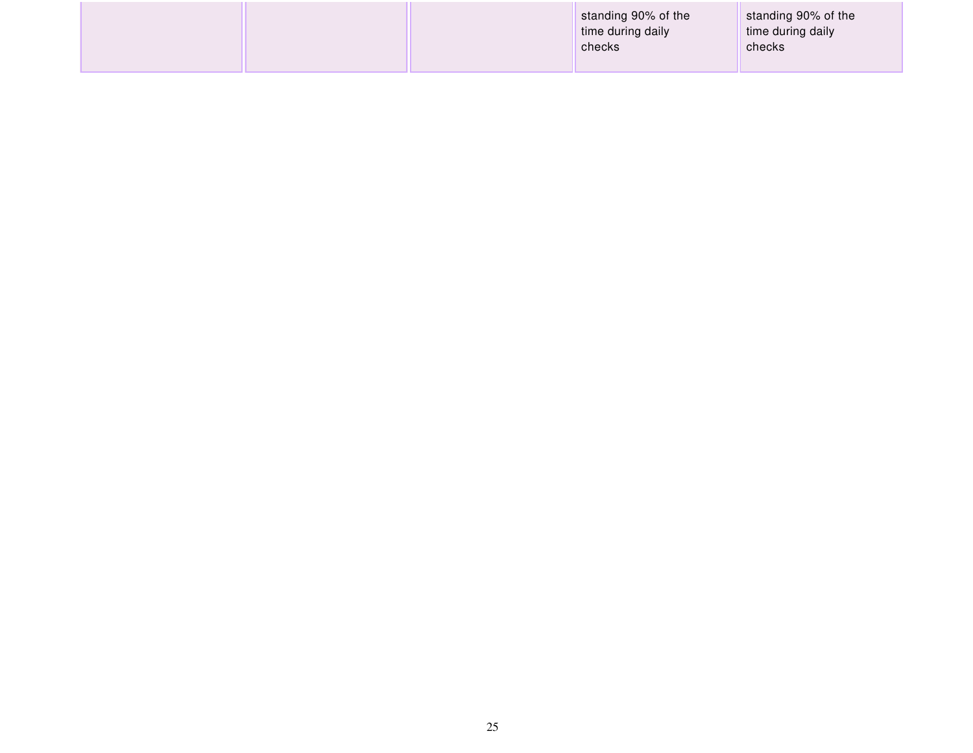|  | standing 90% of the<br>time during daily<br>checks | standing 90% of the<br>time during daily<br>checks |
|--|----------------------------------------------------|----------------------------------------------------|
|--|----------------------------------------------------|----------------------------------------------------|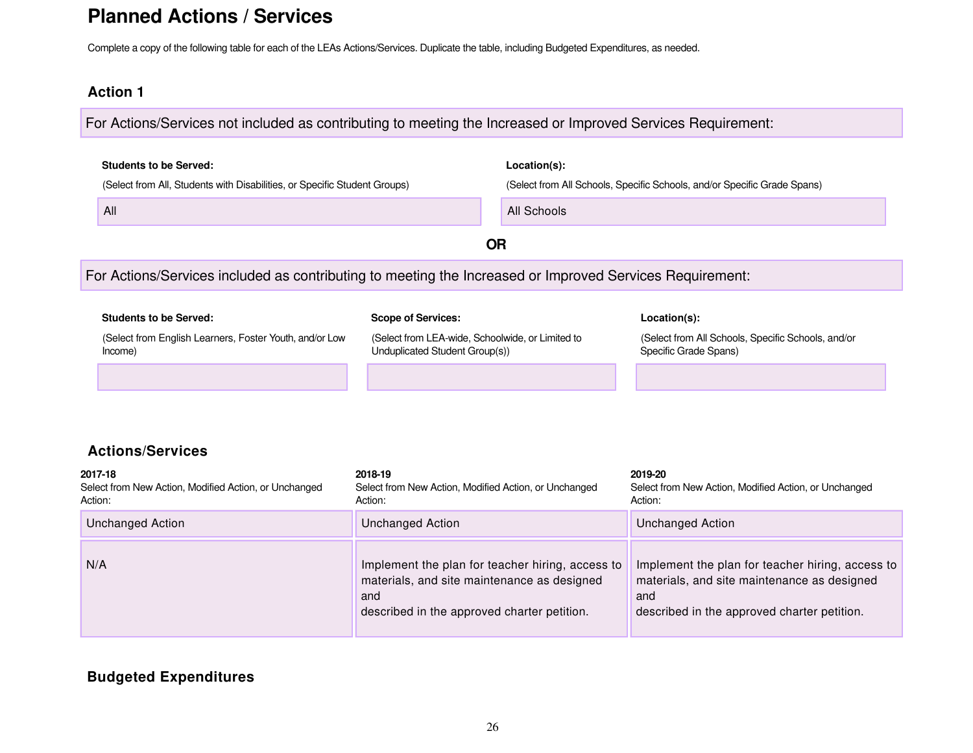## **Planned Actions / Services**

Complete a copy of the following table for each of the LEAs Actions/Services. Duplicate the table, including Budgeted Expenditures, as needed.

#### **Action 1**

For Actions/Services not included as contributing to meeting the Increased or Improved Services Requirement:

| <b>Students to be Served:</b>                                                                            |                                                                                    | Location(s): |                                                                             |
|----------------------------------------------------------------------------------------------------------|------------------------------------------------------------------------------------|--------------|-----------------------------------------------------------------------------|
| (Select from All, Students with Disabilities, or Specific Student Groups)                                |                                                                                    |              | (Select from All Schools, Specific Schools, and/or Specific Grade Spans)    |
| All                                                                                                      |                                                                                    | All Schools  |                                                                             |
|                                                                                                          |                                                                                    | <b>OR</b>    |                                                                             |
| For Actions/Services included as contributing to meeting the Increased or Improved Services Requirement: |                                                                                    |              |                                                                             |
| <b>Students to be Served:</b>                                                                            | <b>Scope of Services:</b>                                                          |              | Location(s):                                                                |
| (Select from English Learners, Foster Youth, and/or Low<br>Income)                                       | (Select from LEA-wide, Schoolwide, or Limited to<br>Unduplicated Student Group(s)) |              | (Select from All Schools, Specific Schools, and/or<br>Specific Grade Spans) |
|                                                                                                          |                                                                                    |              |                                                                             |
|                                                                                                          |                                                                                    |              |                                                                             |
| <b>Actions/Services</b>                                                                                  |                                                                                    |              |                                                                             |
| 2017-18<br>Select from New Action, Modified Action, or Unchanged<br>Action:                              | 2018-19<br>Select from New Action, Modified Action, or Unchanged<br>Action:        |              | 2019-20<br>Select from New Action, Modified Action, or Unchanged<br>Action: |
| <b>Unchanged Action</b>                                                                                  | <b>Unchanged Action</b>                                                            |              | <b>Unchanged Action</b>                                                     |

| 2017-18<br>Select from New Action, Modified Action, or Unchanged<br>Action: | 2018-19<br>Select from New Action, Modified Action, or Unchanged<br>Action:                                                                           | 2019-20<br>Select from New Action, Modified Action, or Unchanged<br>Action:                                                                           |
|-----------------------------------------------------------------------------|-------------------------------------------------------------------------------------------------------------------------------------------------------|-------------------------------------------------------------------------------------------------------------------------------------------------------|
| Unchanged Action                                                            | <b>Unchanged Action</b>                                                                                                                               | Unchanged Action                                                                                                                                      |
| N/A                                                                         | Implement the plan for teacher hiring, access to<br>materials, and site maintenance as designed<br>and<br>described in the approved charter petition. | Implement the plan for teacher hiring, access to<br>materials, and site maintenance as designed<br>and<br>described in the approved charter petition. |

#### **Budgeted Expenditures**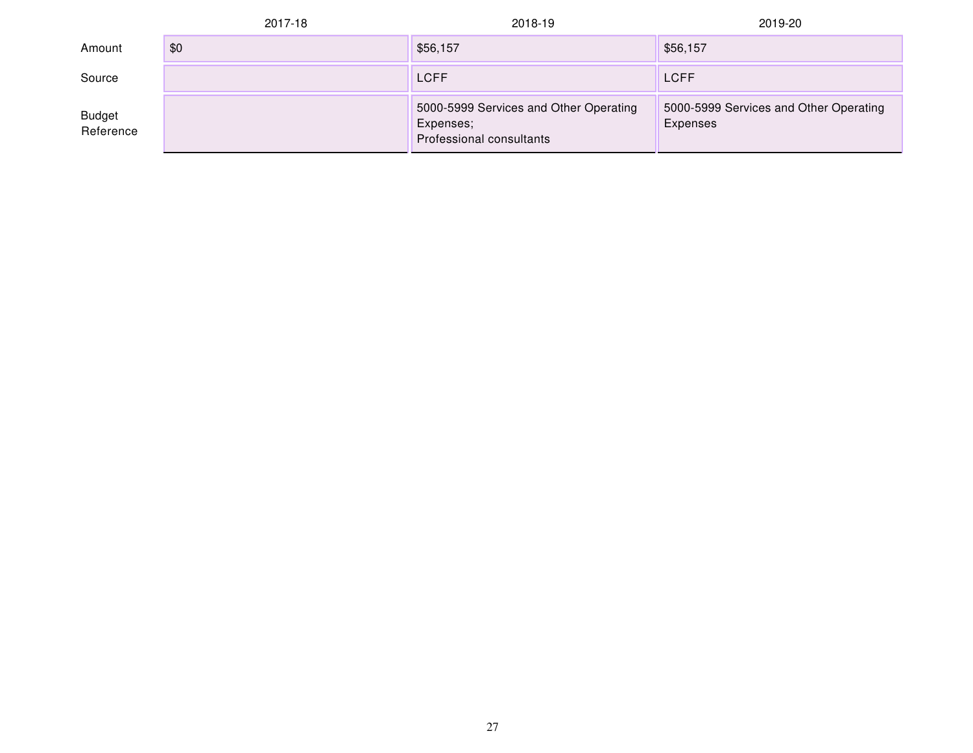|                            | 2017-18 | 2018-19                                                                         | 2019-20                                            |
|----------------------------|---------|---------------------------------------------------------------------------------|----------------------------------------------------|
| Amount                     | \$0     | \$56,157                                                                        | \$56,157                                           |
| Source                     |         | <b>LCFF</b>                                                                     | <b>LCFF</b>                                        |
| <b>Budget</b><br>Reference |         | 5000-5999 Services and Other Operating<br>Expenses;<br>Professional consultants | 5000-5999 Services and Other Operating<br>Expenses |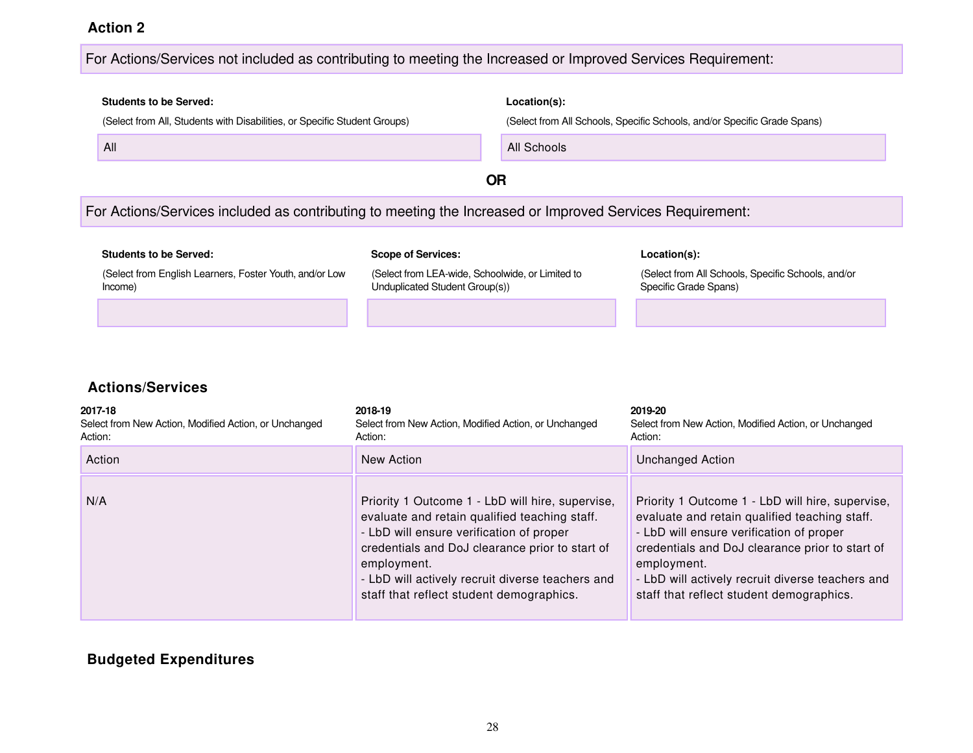#### For Actions/Services not included as contributing to meeting the Increased or Improved Services Requirement:

# **Students to be Served: Location(s):** (Select from All, Students with Disabilities, or Specific Student Groups) (Select from All Schools, Specific Schools, and/or Specific Grade Spans) All **All Schools All Schools All Schools All Schools OR** For Actions/Services included as contributing to meeting the Increased or Improved Services Requirement: **Students to be Served: Scope of Services: Location(s):**

(Select from English Learners, Foster Youth, and/or Low

(Select from LEA-wide, Schoolwide, or Limited to Unduplicated Student Group(s))

(Select from All Schools, Specific Schools, and/or Specific Grade Spans)

#### **Actions/Services**

Income)

| 2017-18<br>Select from New Action, Modified Action, or Unchanged<br>Action: | 2018-19<br>Select from New Action, Modified Action, or Unchanged<br>Action:                                                                                                                                                                                                                                     | 2019-20<br>Select from New Action, Modified Action, or Unchanged<br>Action:                                                                                                                                                                                                                                     |
|-----------------------------------------------------------------------------|-----------------------------------------------------------------------------------------------------------------------------------------------------------------------------------------------------------------------------------------------------------------------------------------------------------------|-----------------------------------------------------------------------------------------------------------------------------------------------------------------------------------------------------------------------------------------------------------------------------------------------------------------|
| Action                                                                      | New Action                                                                                                                                                                                                                                                                                                      | <b>Unchanged Action</b>                                                                                                                                                                                                                                                                                         |
| N/A                                                                         | Priority 1 Outcome 1 - LbD will hire, supervise,<br>evaluate and retain qualified teaching staff.<br>- LbD will ensure verification of proper<br>credentials and DoJ clearance prior to start of<br>employment.<br>- LbD will actively recruit diverse teachers and<br>staff that reflect student demographics. | Priority 1 Outcome 1 - LbD will hire, supervise,<br>evaluate and retain qualified teaching staff.<br>- LbD will ensure verification of proper<br>credentials and DoJ clearance prior to start of<br>employment.<br>- LbD will actively recruit diverse teachers and<br>staff that reflect student demographics. |

#### **Budgeted Expenditures**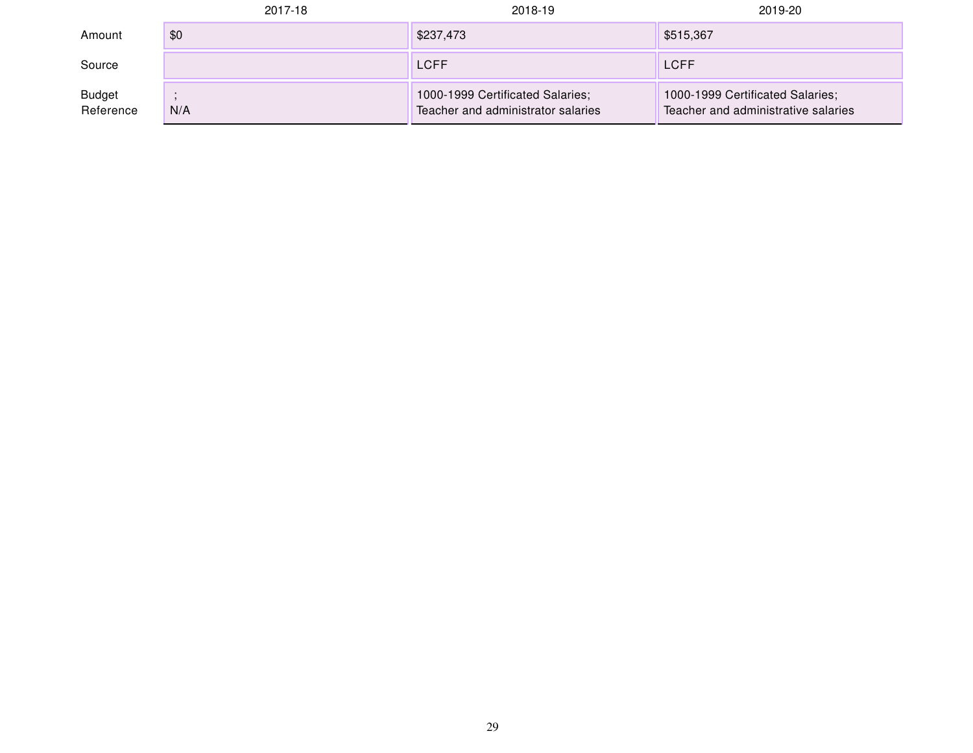|                            | 2017-18 | 2018-19                                                                | 2019-20                                                                 |
|----------------------------|---------|------------------------------------------------------------------------|-------------------------------------------------------------------------|
| Amount                     | \$0     | \$237,473                                                              | \$515,367                                                               |
| Source                     |         | <b>LCFF</b>                                                            | <b>LCFF</b>                                                             |
| <b>Budget</b><br>Reference | N/A     | 1000-1999 Certificated Salaries;<br>Teacher and administrator salaries | 1000-1999 Certificated Salaries;<br>Teacher and administrative salaries |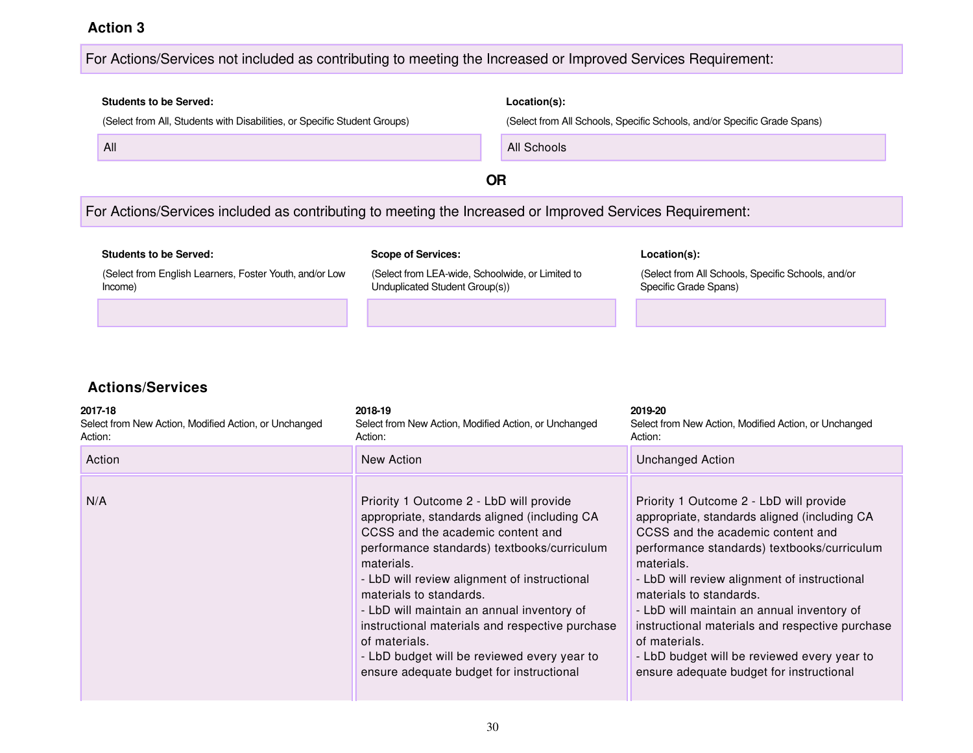#### For Actions/Services not included as contributing to meeting the Increased or Improved Services Requirement:

## **Students to be Served: Location(s):** (Select from All, Students with Disabilities, or Specific Student Groups) (Select from All Schools, Specific Schools, and/or Specific Grade Spans) All All Schools **OR** For Actions/Services included as contributing to meeting the Increased or Improved Services Requirement:

| <b>Students to be Served:</b>                                      | <b>Scope of Services:</b>                                                          | Location(s):                                                                |
|--------------------------------------------------------------------|------------------------------------------------------------------------------------|-----------------------------------------------------------------------------|
| (Select from English Learners, Foster Youth, and/or Low<br>Income) | (Select from LEA-wide, Schoolwide, or Limited to<br>Unduplicated Student Group(s)) | (Select from All Schools, Specific Schools, and/or<br>Specific Grade Spans) |
|                                                                    |                                                                                    |                                                                             |

| 2017-18<br>Select from New Action, Modified Action, or Unchanged<br>Action: | 2018-19<br>Select from New Action, Modified Action, or Unchanged<br>Action:                                                                                                                                                                                                                                                                                                                                                                                                       | 2019-20<br>Select from New Action, Modified Action, or Unchanged<br>Action:                                                                                                                                                                                                                                                                                                                                                                                                       |
|-----------------------------------------------------------------------------|-----------------------------------------------------------------------------------------------------------------------------------------------------------------------------------------------------------------------------------------------------------------------------------------------------------------------------------------------------------------------------------------------------------------------------------------------------------------------------------|-----------------------------------------------------------------------------------------------------------------------------------------------------------------------------------------------------------------------------------------------------------------------------------------------------------------------------------------------------------------------------------------------------------------------------------------------------------------------------------|
| Action                                                                      | New Action                                                                                                                                                                                                                                                                                                                                                                                                                                                                        | <b>Unchanged Action</b>                                                                                                                                                                                                                                                                                                                                                                                                                                                           |
| N/A                                                                         | Priority 1 Outcome 2 - LbD will provide<br>appropriate, standards aligned (including CA<br>CCSS and the academic content and<br>performance standards) textbooks/curriculum<br>materials.<br>- LbD will review alignment of instructional<br>materials to standards.<br>- LbD will maintain an annual inventory of<br>instructional materials and respective purchase<br>of materials.<br>- LbD budget will be reviewed every year to<br>ensure adequate budget for instructional | Priority 1 Outcome 2 - LbD will provide<br>appropriate, standards aligned (including CA<br>CCSS and the academic content and<br>performance standards) textbooks/curriculum<br>materials.<br>- LbD will review alignment of instructional<br>materials to standards.<br>- LbD will maintain an annual inventory of<br>instructional materials and respective purchase<br>of materials.<br>- LbD budget will be reviewed every year to<br>ensure adequate budget for instructional |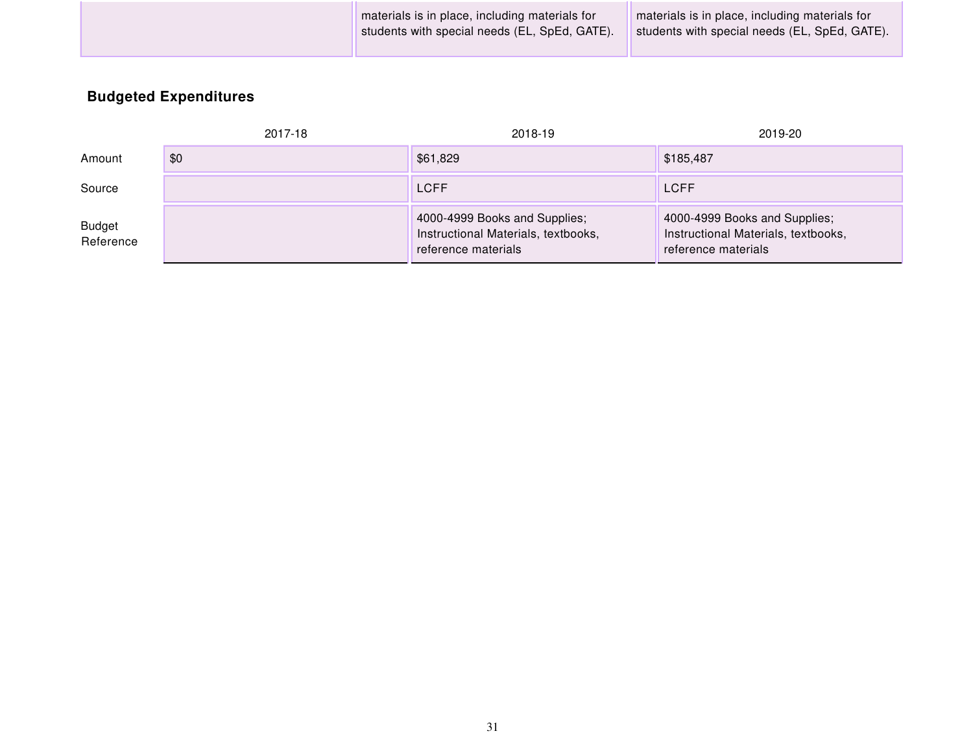|  | materials is in place, including materials for<br>students with special needs (EL, SpEd, GATE). | materials is in place, including materials for<br>students with special needs (EL, SpEd, GATE). |
|--|-------------------------------------------------------------------------------------------------|-------------------------------------------------------------------------------------------------|
|--|-------------------------------------------------------------------------------------------------|-------------------------------------------------------------------------------------------------|

## **Budgeted Expenditures**

|                            | 2017-18 | 2018-19                                                                                     | 2019-20                                                                                     |
|----------------------------|---------|---------------------------------------------------------------------------------------------|---------------------------------------------------------------------------------------------|
| Amount                     | \$0     | \$61,829                                                                                    | \$185,487                                                                                   |
| Source                     |         | <b>LCFF</b>                                                                                 | <b>LCFF</b>                                                                                 |
| <b>Budget</b><br>Reference |         | 4000-4999 Books and Supplies;<br>Instructional Materials, textbooks,<br>reference materials | 4000-4999 Books and Supplies;<br>Instructional Materials, textbooks,<br>reference materials |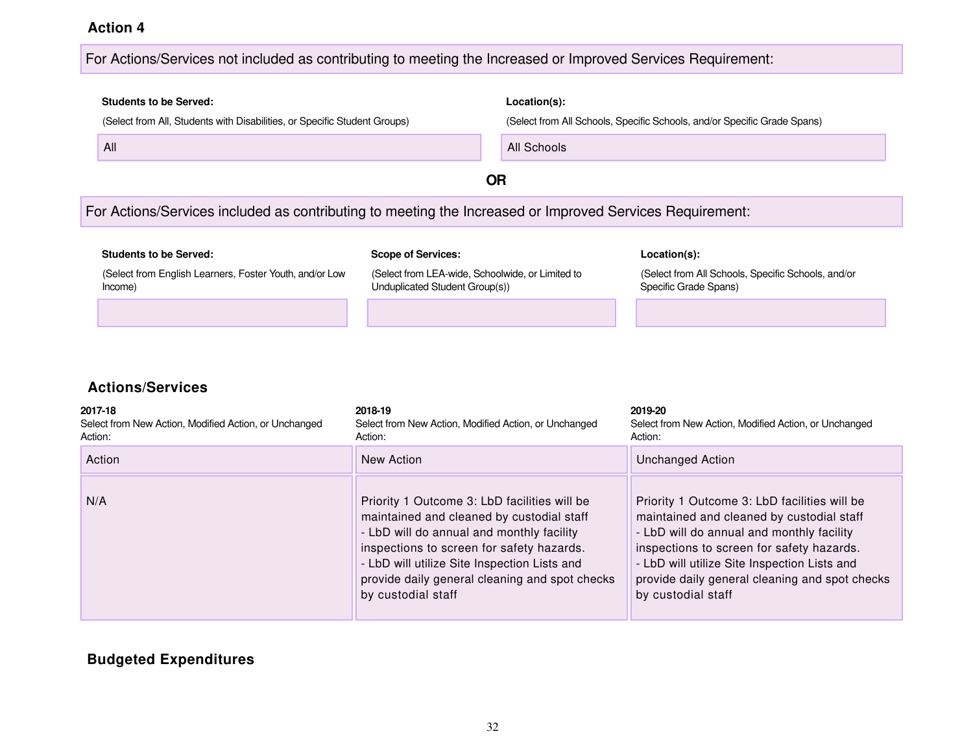#### For Actions/Services not included as contributing to meeting the Increased or Improved Services Requirement:

# **Students to be Served: Location(s):** (Select from All, Students with Disabilities, or Specific Student Groups) (Select from All Schools, Specific Schools, and/or Specific Grade Spans) All **All Schools All Schools All Schools All Schools OR** For Actions/Services included as contributing to meeting the Increased or Improved Services Requirement: **Students to be Served: Scope of Services: Location(s):** (Select from English Learners, Foster Youth, and/or Low

(Select from LEA-wide, Schoolwide, or Limited to Unduplicated Student Group(s))

(Select from All Schools, Specific Schools, and/or Specific Grade Spans)

#### **Actions/Services**

Income)

| 2017-18<br>Select from New Action, Modified Action, or Unchanged<br>Action: | 2018-19<br>Select from New Action, Modified Action, or Unchanged<br>Action:                                                                                                                                                                                                                                 | 2019-20<br>Select from New Action, Modified Action, or Unchanged<br>Action:                                                                                                                                                                                                                                 |
|-----------------------------------------------------------------------------|-------------------------------------------------------------------------------------------------------------------------------------------------------------------------------------------------------------------------------------------------------------------------------------------------------------|-------------------------------------------------------------------------------------------------------------------------------------------------------------------------------------------------------------------------------------------------------------------------------------------------------------|
| Action                                                                      | New Action                                                                                                                                                                                                                                                                                                  | <b>Unchanged Action</b>                                                                                                                                                                                                                                                                                     |
| N/A                                                                         | Priority 1 Outcome 3: LbD facilities will be<br>maintained and cleaned by custodial staff<br>- LbD will do annual and monthly facility<br>inspections to screen for safety hazards.<br>- LbD will utilize Site Inspection Lists and<br>provide daily general cleaning and spot checks<br>by custodial staff | Priority 1 Outcome 3: LbD facilities will be<br>maintained and cleaned by custodial staff<br>- LbD will do annual and monthly facility<br>inspections to screen for safety hazards.<br>- LbD will utilize Site Inspection Lists and<br>provide daily general cleaning and spot checks<br>by custodial staff |

#### **Budgeted Expenditures**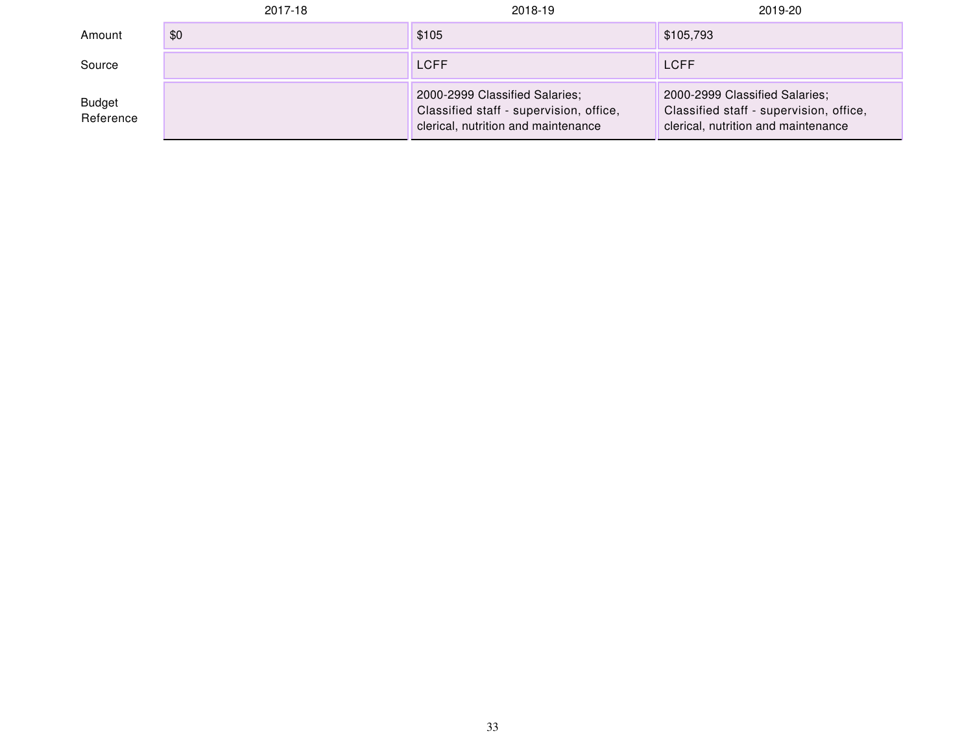|                            | 2017-18 | 2018-19                                                                                                          | 2019-20                                                                                                          |
|----------------------------|---------|------------------------------------------------------------------------------------------------------------------|------------------------------------------------------------------------------------------------------------------|
| Amount                     | \$0     | \$105                                                                                                            | \$105,793                                                                                                        |
| Source                     |         | <b>LCFF</b>                                                                                                      | <b>LCFF</b>                                                                                                      |
| <b>Budget</b><br>Reference |         | 2000-2999 Classified Salaries;<br>Classified staff - supervision, office,<br>clerical, nutrition and maintenance | 2000-2999 Classified Salaries;<br>Classified staff - supervision, office,<br>clerical, nutrition and maintenance |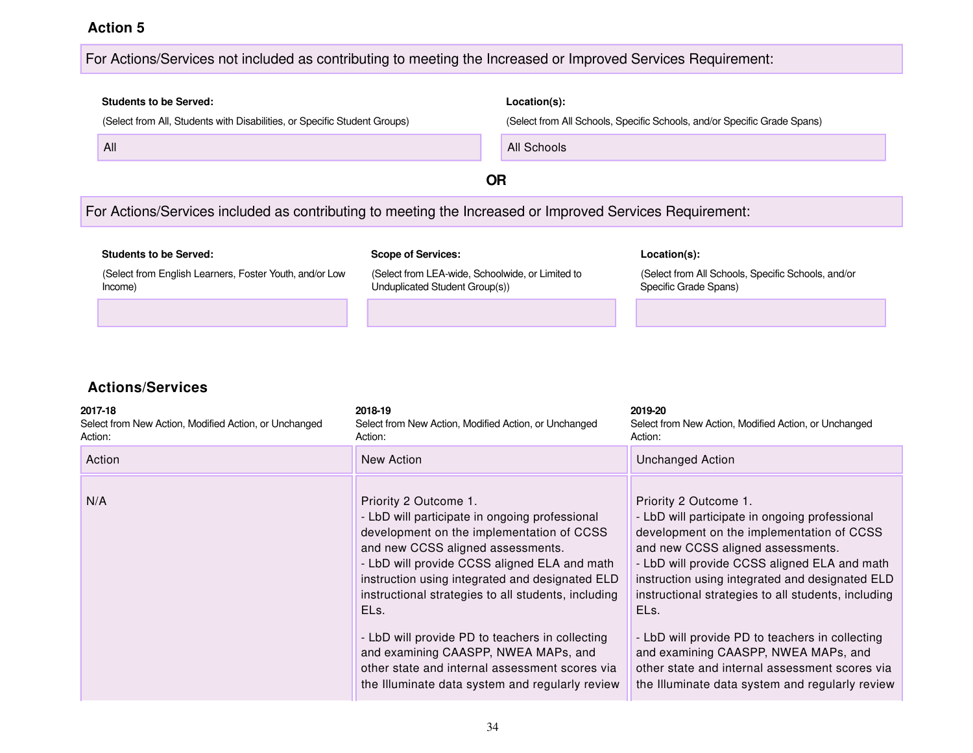#### For Actions/Services not included as contributing to meeting the Increased or Improved Services Requirement:

# **Students to be Served: Location(s):** (Select from All, Students with Disabilities, or Specific Student Groups) (Select from All Schools, Specific Schools, and/or Specific Grade Spans) All All Schools **OR** For Actions/Services included as contributing to meeting the Increased or Improved Services Requirement:

| <b>Students to be Served:</b>                                      | <b>Scope of Services:</b>                                                          | Location(s):                                                                |
|--------------------------------------------------------------------|------------------------------------------------------------------------------------|-----------------------------------------------------------------------------|
| (Select from English Learners, Foster Youth, and/or Low<br>Income) | (Select from LEA-wide, Schoolwide, or Limited to<br>Unduplicated Student Group(s)) | (Select from All Schools, Specific Schools, and/or<br>Specific Grade Spans) |
|                                                                    |                                                                                    |                                                                             |

| 2017-18<br>Select from New Action, Modified Action, or Unchanged<br>Action: | 2018-19<br>Select from New Action, Modified Action, or Unchanged<br>Action:                                                                                                                                                                                                                                                 | 2019-20<br>Select from New Action, Modified Action, or Unchanged<br>Action:                                                                                                                                                                                                                                                 |
|-----------------------------------------------------------------------------|-----------------------------------------------------------------------------------------------------------------------------------------------------------------------------------------------------------------------------------------------------------------------------------------------------------------------------|-----------------------------------------------------------------------------------------------------------------------------------------------------------------------------------------------------------------------------------------------------------------------------------------------------------------------------|
| Action                                                                      | New Action                                                                                                                                                                                                                                                                                                                  | <b>Unchanged Action</b>                                                                                                                                                                                                                                                                                                     |
| N/A                                                                         | Priority 2 Outcome 1.<br>- LbD will participate in ongoing professional<br>development on the implementation of CCSS<br>and new CCSS aligned assessments.<br>- LbD will provide CCSS aligned ELA and math<br>instruction using integrated and designated ELD<br>instructional strategies to all students, including<br>ELs. | Priority 2 Outcome 1.<br>- LbD will participate in ongoing professional<br>development on the implementation of CCSS<br>and new CCSS aligned assessments.<br>- LbD will provide CCSS aligned ELA and math<br>instruction using integrated and designated ELD<br>instructional strategies to all students, including<br>ELs. |
|                                                                             | - LbD will provide PD to teachers in collecting<br>and examining CAASPP, NWEA MAPs, and<br>other state and internal assessment scores via<br>the Illuminate data system and regularly review                                                                                                                                | - LbD will provide PD to teachers in collecting<br>and examining CAASPP, NWEA MAPs, and<br>other state and internal assessment scores via<br>the Illuminate data system and regularly review                                                                                                                                |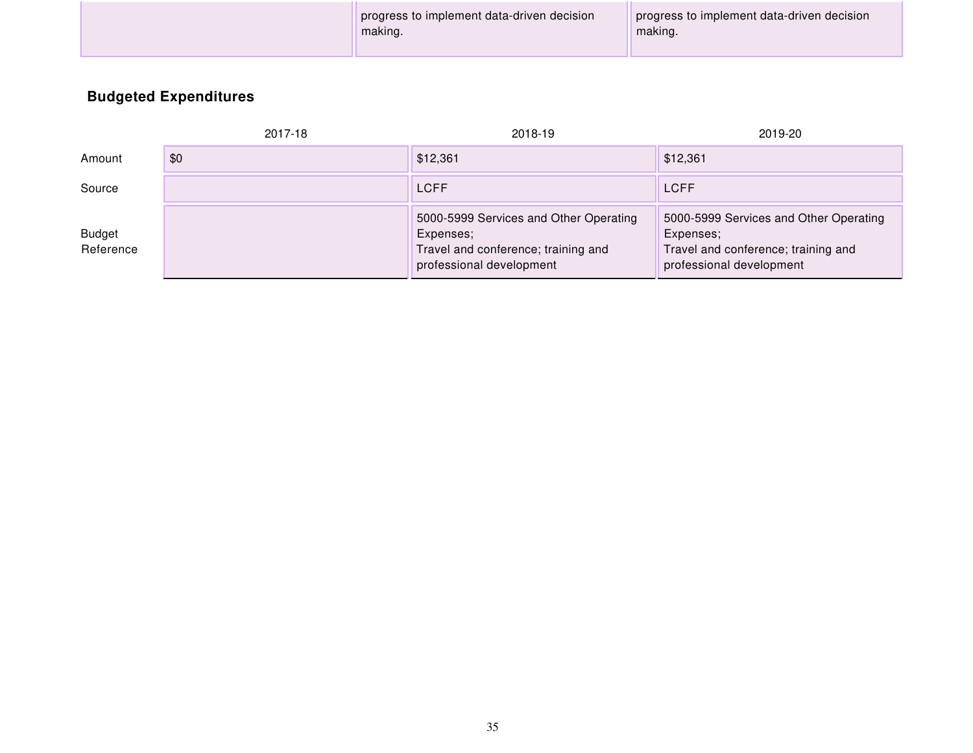| progress to implement data-driven decision<br>progress to implement data-driven decision<br>making.<br>making. |  |
|----------------------------------------------------------------------------------------------------------------|--|
|----------------------------------------------------------------------------------------------------------------|--|

## **Budgeted Expenditures**

|                            | 2017-18 | 2018-19                                                                                                                | 2019-20                                                                                                                |
|----------------------------|---------|------------------------------------------------------------------------------------------------------------------------|------------------------------------------------------------------------------------------------------------------------|
| Amount                     | \$0     | \$12,361                                                                                                               | \$12,361                                                                                                               |
| Source                     |         | <b>LCFF</b>                                                                                                            | <b>LCFF</b>                                                                                                            |
| <b>Budget</b><br>Reference |         | 5000-5999 Services and Other Operating<br>Expenses;<br>Travel and conference; training and<br>professional development | 5000-5999 Services and Other Operating<br>Expenses;<br>Travel and conference; training and<br>professional development |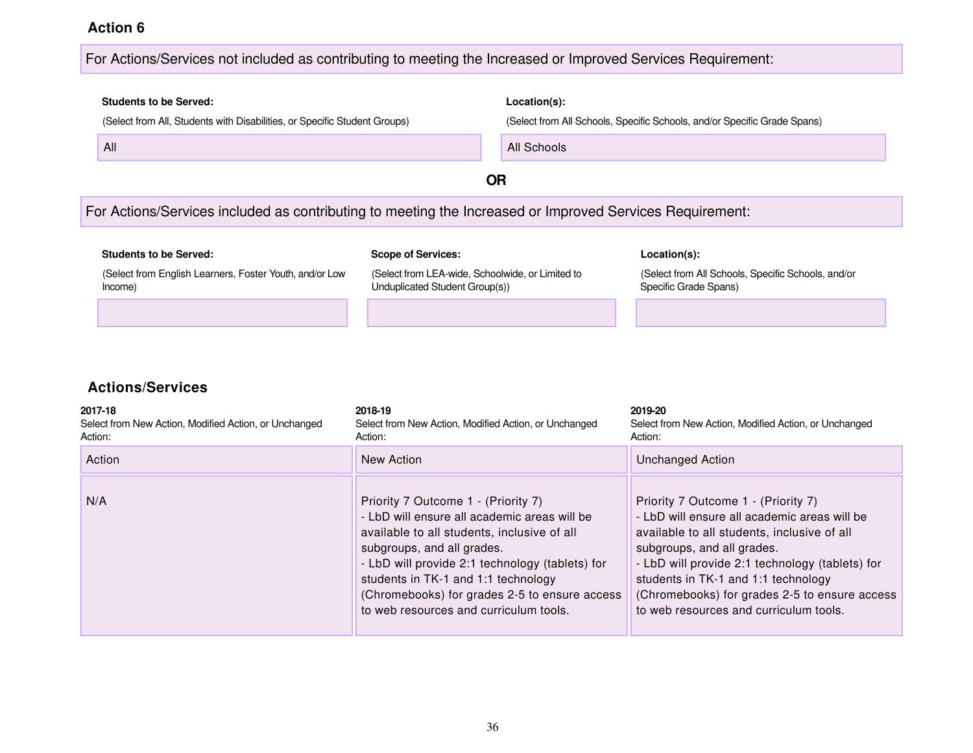#### For Actions/Services not included as contributing to meeting the Increased or Improved Services Requirement:

# **Students to be Served: Location(s):** (Select from All, Students with Disabilities, or Specific Student Groups) (Select from All Schools, Specific Schools, and/or Specific Grade Spans) All **All Schools All Schools All Schools All Schools OR** For Actions/Services included as contributing to meeting the Increased or Improved Services Requirement: **Students to be Served: Scope of Services: Location(s):**

(Select from English Learners, Foster Youth, and/or Low Income) (Select from LEA-wide, Schoolwide, or Limited to Unduplicated Student Group(s)) (Select from All Schools, Specific Schools, and/or Specific Grade Spans)

| 2017-18<br>Select from New Action, Modified Action, or Unchanged<br>Action: | 2018-19<br>Select from New Action, Modified Action, or Unchanged<br>Action:                                                                                                                                                                                                                                                                           | 2019-20<br>Select from New Action, Modified Action, or Unchanged<br>Action:                                                                                                                                                                                                                                                                           |
|-----------------------------------------------------------------------------|-------------------------------------------------------------------------------------------------------------------------------------------------------------------------------------------------------------------------------------------------------------------------------------------------------------------------------------------------------|-------------------------------------------------------------------------------------------------------------------------------------------------------------------------------------------------------------------------------------------------------------------------------------------------------------------------------------------------------|
| Action                                                                      | New Action                                                                                                                                                                                                                                                                                                                                            | Unchanged Action                                                                                                                                                                                                                                                                                                                                      |
| N/A                                                                         | Priority 7 Outcome 1 - (Priority 7)<br>- LbD will ensure all academic areas will be<br>available to all students, inclusive of all<br>subgroups, and all grades.<br>- LbD will provide 2:1 technology (tablets) for<br>students in TK-1 and 1:1 technology<br>(Chromebooks) for grades 2-5 to ensure access<br>to web resources and curriculum tools. | Priority 7 Outcome 1 - (Priority 7)<br>- LbD will ensure all academic areas will be<br>available to all students, inclusive of all<br>subgroups, and all grades.<br>- LbD will provide 2:1 technology (tablets) for<br>students in TK-1 and 1:1 technology<br>(Chromebooks) for grades 2-5 to ensure access<br>to web resources and curriculum tools. |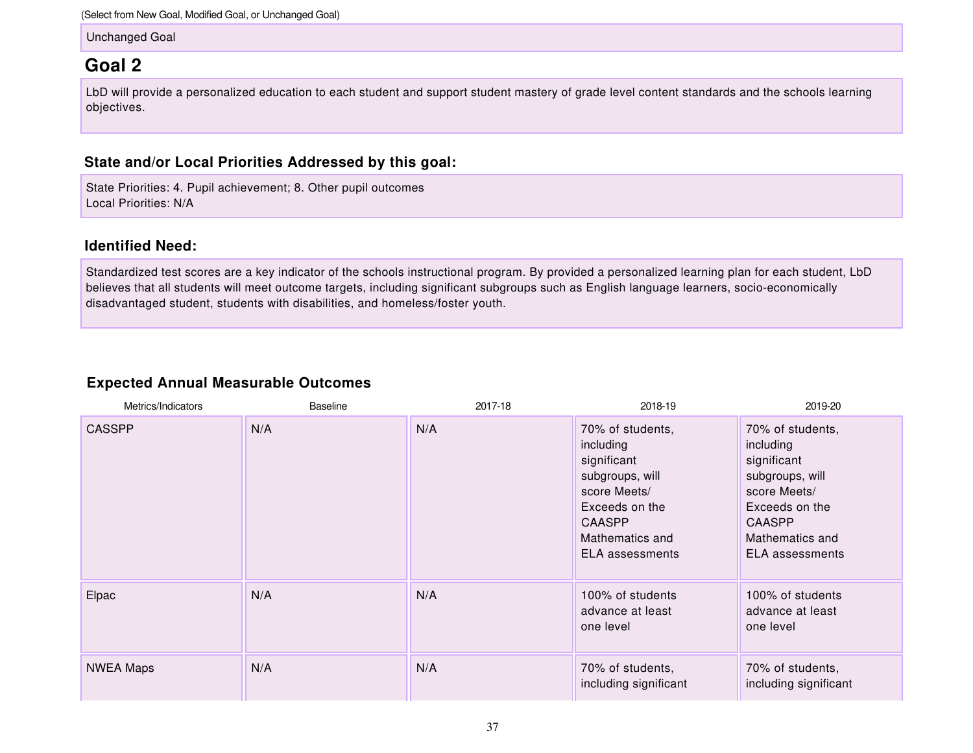(Select from New Goal, Modified Goal, or Unchanged Goal)

Unchanged Goal

### **Goal 2**

LbD will provide a personalized education to each student and support student mastery of grade level content standards and the schools learning objectives.

#### **State and/or Local Priorities Addressed by this goal:**

State Priorities: 4. Pupil achievement; 8. Other pupil outcomes Local Priorities: N/A

#### **Identified Need:**

Standardized test scores are a key indicator of the schools instructional program. By provided a personalized learning plan for each student, LbD believes that all students will meet outcome targets, including significant subgroups such as English language learners, socio-economically disadvantaged student, students with disabilities, and homeless/foster youth.

#### **Expected Annual Measurable Outcomes**

| Metrics/Indicators | <b>Baseline</b> | 2017-18 | 2018-19                                                                                                                                                  | 2019-20                                                                                                                                                  |
|--------------------|-----------------|---------|----------------------------------------------------------------------------------------------------------------------------------------------------------|----------------------------------------------------------------------------------------------------------------------------------------------------------|
| <b>CASSPP</b>      | N/A             | N/A     | 70% of students,<br>including<br>significant<br>subgroups, will<br>score Meets/<br>Exceeds on the<br><b>CAASPP</b><br>Mathematics and<br>ELA assessments | 70% of students,<br>including<br>significant<br>subgroups, will<br>score Meets/<br>Exceeds on the<br><b>CAASPP</b><br>Mathematics and<br>ELA assessments |
| Elpac              | N/A             | N/A     | 100% of students<br>advance at least<br>one level                                                                                                        | 100% of students<br>advance at least<br>one level                                                                                                        |
| <b>NWEA Maps</b>   | N/A             | N/A     | 70% of students,<br>including significant                                                                                                                | 70% of students,<br>including significant                                                                                                                |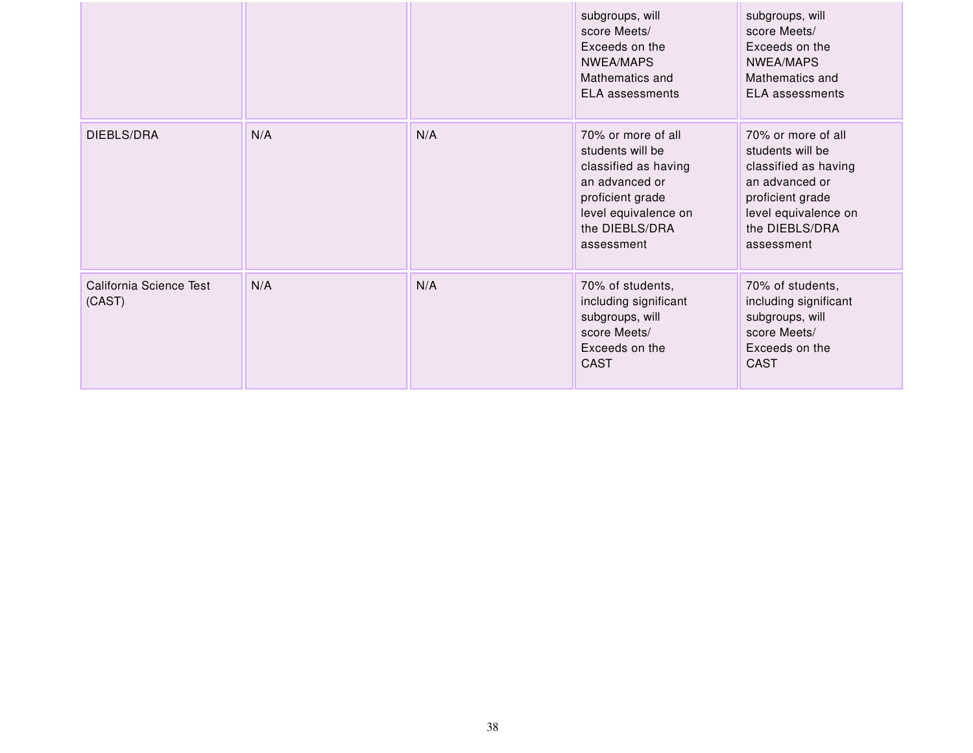|                                   |     |     | subgroups, will<br>score Meets/<br>Exceeds on the<br>NWEA/MAPS<br>Mathematics and<br><b>ELA</b> assessments                                                  | subgroups, will<br>score Meets/<br>Exceeds on the<br>NWEA/MAPS<br>Mathematics and<br><b>ELA</b> assessments                                                  |
|-----------------------------------|-----|-----|--------------------------------------------------------------------------------------------------------------------------------------------------------------|--------------------------------------------------------------------------------------------------------------------------------------------------------------|
| DIEBLS/DRA                        | N/A | N/A | 70% or more of all<br>students will be<br>classified as having<br>an advanced or<br>proficient grade<br>level equivalence on<br>the DIEBLS/DRA<br>assessment | 70% or more of all<br>students will be<br>classified as having<br>an advanced or<br>proficient grade<br>level equivalence on<br>the DIEBLS/DRA<br>assessment |
| California Science Test<br>(CAST) | N/A | N/A | 70% of students,<br>including significant<br>subgroups, will<br>score Meets/<br>Exceeds on the<br><b>CAST</b>                                                | 70% of students,<br>including significant<br>subgroups, will<br>score Meets/<br>Exceeds on the<br><b>CAST</b>                                                |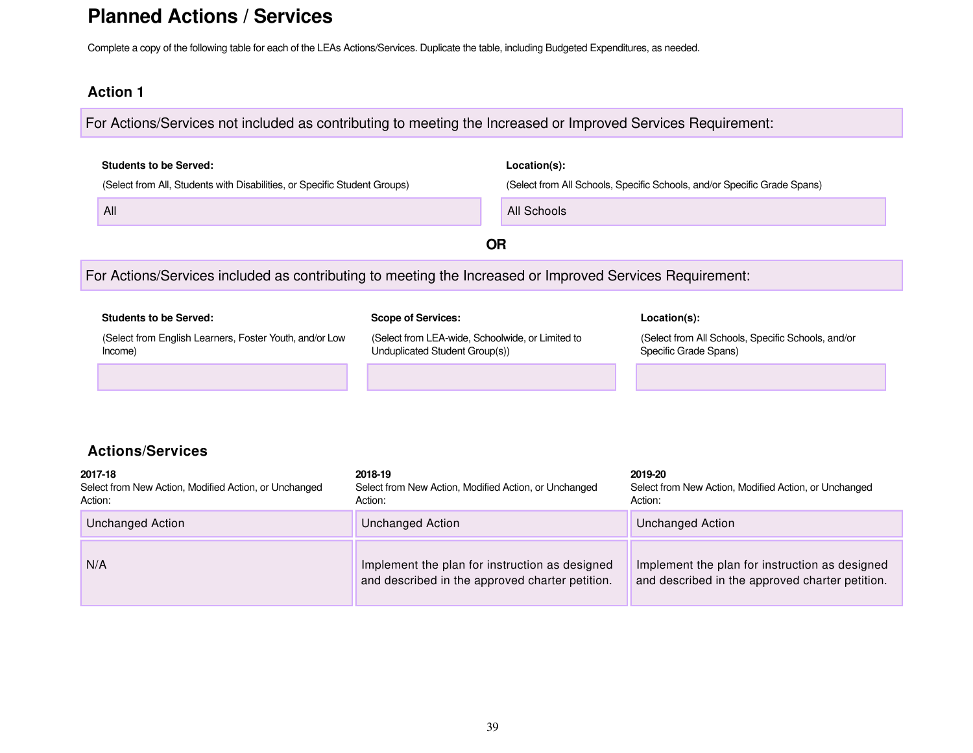## **Planned Actions / Services**

Complete a copy of the following table for each of the LEAs Actions/Services. Duplicate the table, including Budgeted Expenditures, as needed.

#### **Action 1**

For Actions/Services not included as contributing to meeting the Increased or Improved Services Requirement:

| <b>Students to be Served:</b><br>(Select from All, Students with Disabilities, or Specific Student Groups)<br>All |                                                                                                                 | Location(s):<br>All Schools | (Select from All Schools, Specific Schools, and/or Specific Grade Spans)                    |
|-------------------------------------------------------------------------------------------------------------------|-----------------------------------------------------------------------------------------------------------------|-----------------------------|---------------------------------------------------------------------------------------------|
|                                                                                                                   | <b>OR</b>                                                                                                       |                             |                                                                                             |
| For Actions/Services included as contributing to meeting the Increased or Improved Services Requirement:          |                                                                                                                 |                             |                                                                                             |
| <b>Students to be Served:</b><br>(Select from English Learners, Foster Youth, and/or Low<br>Income)               | <b>Scope of Services:</b><br>(Select from LEA-wide, Schoolwide, or Limited to<br>Unduplicated Student Group(s)) |                             | Location(s):<br>(Select from All Schools, Specific Schools, and/or<br>Specific Grade Spans) |
| <b>Actions/Services</b><br>2017-18<br>Select from New Action, Modified Action, or Unchanged<br>Action:            | 2018-19<br>Select from New Action, Modified Action, or Unchanged<br>Action:                                     |                             | 2019-20<br>Select from New Action, Modified Action, or Unchanged<br>Action:                 |

| Action:          | Action:                                                                                           | Action:                                                                                           |
|------------------|---------------------------------------------------------------------------------------------------|---------------------------------------------------------------------------------------------------|
| Unchanged Action | Unchanged Action                                                                                  | Unchanged Action                                                                                  |
| N/A              | Implement the plan for instruction as designed<br>and described in the approved charter petition. | Implement the plan for instruction as designed<br>and described in the approved charter petition. |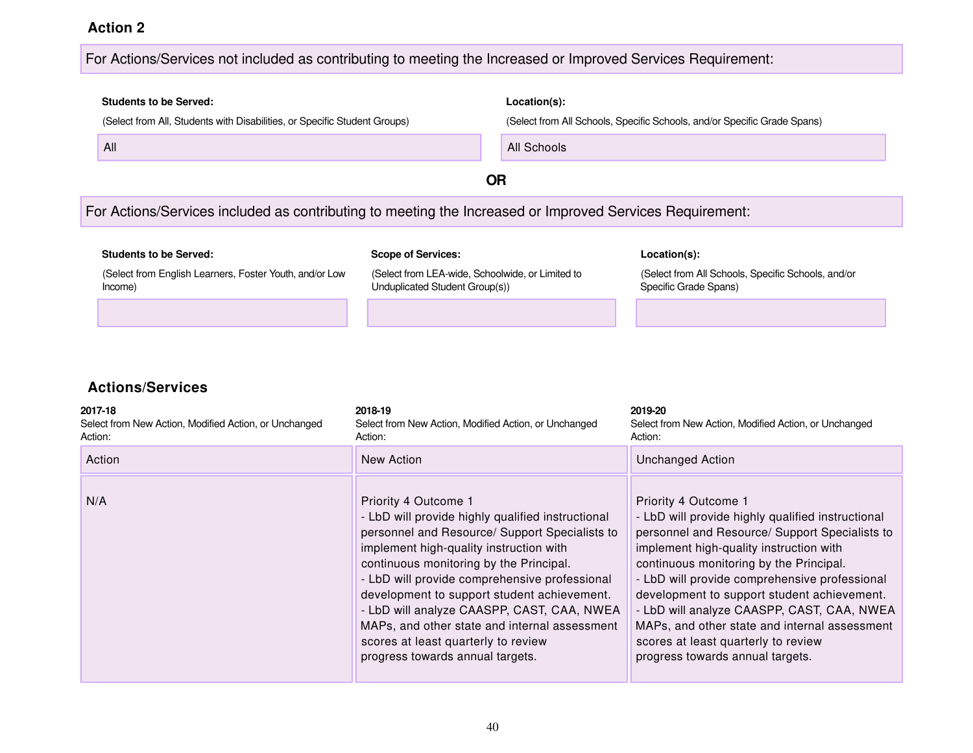#### For Actions/Services not included as contributing to meeting the Increased or Improved Services Requirement:

# **Students to be Served: Location(s):** (Select from All, Students with Disabilities, or Specific Student Groups) (Select from All Schools, Specific Schools, and/or Specific Grade Spans) **All Schools All Schools All Schools All Schools OR** For Actions/Services included as contributing to meeting the Increased or Improved Services Requirement:

| <b>Students to be Served:</b>                                      | <b>Scope of Services:</b>                                                          | Location(s):                                                                |
|--------------------------------------------------------------------|------------------------------------------------------------------------------------|-----------------------------------------------------------------------------|
| (Select from English Learners, Foster Youth, and/or Low<br>Income) | (Select from LEA-wide, Schoolwide, or Limited to<br>Unduplicated Student Group(s)) | (Select from All Schools, Specific Schools, and/or<br>Specific Grade Spans) |
|                                                                    |                                                                                    |                                                                             |

| 2017-18<br>Select from New Action, Modified Action, or Unchanged<br>Action: | 2018-19<br>Select from New Action, Modified Action, or Unchanged<br>Action:                                                                                                                                                                                                                                                                                                                                                                                                                 | 2019-20<br>Select from New Action, Modified Action, or Unchanged<br>Action:                                                                                                                                                                                                                                                                                                                                                                                                                 |
|-----------------------------------------------------------------------------|---------------------------------------------------------------------------------------------------------------------------------------------------------------------------------------------------------------------------------------------------------------------------------------------------------------------------------------------------------------------------------------------------------------------------------------------------------------------------------------------|---------------------------------------------------------------------------------------------------------------------------------------------------------------------------------------------------------------------------------------------------------------------------------------------------------------------------------------------------------------------------------------------------------------------------------------------------------------------------------------------|
| Action                                                                      | New Action                                                                                                                                                                                                                                                                                                                                                                                                                                                                                  | <b>Unchanged Action</b>                                                                                                                                                                                                                                                                                                                                                                                                                                                                     |
| N/A                                                                         | Priority 4 Outcome 1<br>- LbD will provide highly qualified instructional<br>personnel and Resource/ Support Specialists to<br>implement high-quality instruction with<br>continuous monitoring by the Principal.<br>- LbD will provide comprehensive professional<br>development to support student achievement.<br>- LbD will analyze CAASPP, CAST, CAA, NWEA<br>MAPs, and other state and internal assessment<br>scores at least quarterly to review<br>progress towards annual targets. | Priority 4 Outcome 1<br>- LbD will provide highly qualified instructional<br>personnel and Resource/ Support Specialists to<br>implement high-quality instruction with<br>continuous monitoring by the Principal.<br>- LbD will provide comprehensive professional<br>development to support student achievement.<br>- LbD will analyze CAASPP, CAST, CAA, NWEA<br>MAPs, and other state and internal assessment<br>scores at least quarterly to review<br>progress towards annual targets. |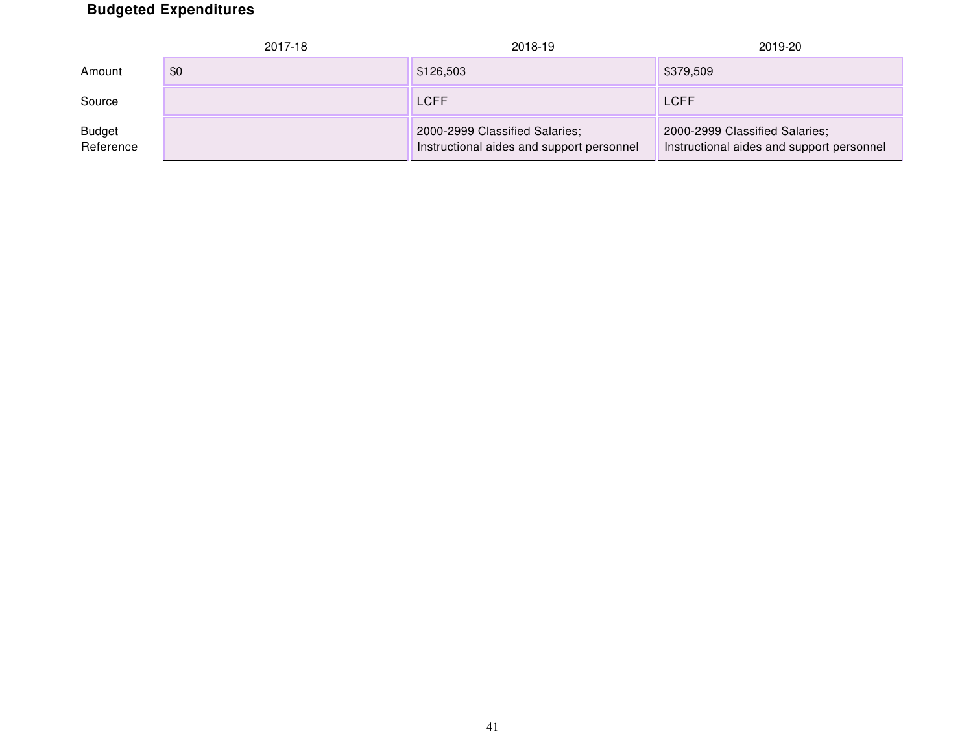## **Budgeted Expenditures**

|                            | 2017-18 | 2018-19                                                                     | 2019-20                                                                     |
|----------------------------|---------|-----------------------------------------------------------------------------|-----------------------------------------------------------------------------|
| Amount                     | \$0     | \$126,503                                                                   | \$379,509                                                                   |
| Source                     |         | <b>LCFF</b>                                                                 | LCFF                                                                        |
| <b>Budget</b><br>Reference |         | 2000-2999 Classified Salaries;<br>Instructional aides and support personnel | 2000-2999 Classified Salaries;<br>Instructional aides and support personnel |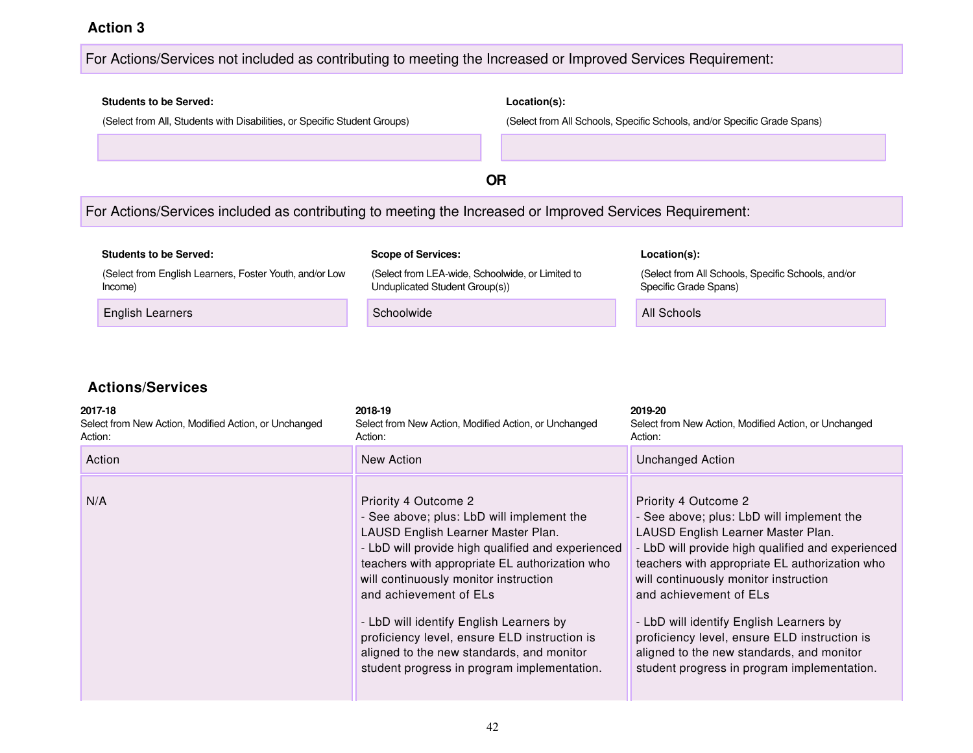#### For Actions/Services not included as contributing to meeting the Increased or Improved Services Requirement:

### **Students to be Served: Location(s):** (Select from All, Students with Disabilities, or Specific Student Groups) (Select from All Schools, Specific Schools, and/or Specific Grade Spans) **OR** For Actions/Services included as contributing to meeting the Increased or Improved Services Requirement: **Students to be Served: Scope of Services: Location(s):** (Select from English Learners, Foster Youth, and/or Low Income) (Select from LEA-wide, Schoolwide, or Limited to Unduplicated Student Group(s)) (Select from All Schools, Specific Schools, and/or Specific Grade Spans) English Learners **Schoolwide** All Schools and Schoolwide All Schools and All Schools

| 2017-18<br>Select from New Action, Modified Action, or Unchanged<br>Action: | 2018-19<br>Select from New Action, Modified Action, or Unchanged<br>Action:                                                                                                                                                                                                                                                                                                                                                                                              | 2019-20<br>Select from New Action, Modified Action, or Unchanged<br>Action:                                                                                                                                                                                                                                                                                                                                                                                              |
|-----------------------------------------------------------------------------|--------------------------------------------------------------------------------------------------------------------------------------------------------------------------------------------------------------------------------------------------------------------------------------------------------------------------------------------------------------------------------------------------------------------------------------------------------------------------|--------------------------------------------------------------------------------------------------------------------------------------------------------------------------------------------------------------------------------------------------------------------------------------------------------------------------------------------------------------------------------------------------------------------------------------------------------------------------|
| Action                                                                      | New Action                                                                                                                                                                                                                                                                                                                                                                                                                                                               | <b>Unchanged Action</b>                                                                                                                                                                                                                                                                                                                                                                                                                                                  |
| N/A                                                                         | Priority 4 Outcome 2<br>- See above; plus: LbD will implement the<br>LAUSD English Learner Master Plan.<br>- LbD will provide high qualified and experienced<br>teachers with appropriate EL authorization who<br>will continuously monitor instruction<br>and achievement of ELs<br>- LbD will identify English Learners by<br>proficiency level, ensure ELD instruction is<br>aligned to the new standards, and monitor<br>student progress in program implementation. | Priority 4 Outcome 2<br>- See above; plus: LbD will implement the<br>LAUSD English Learner Master Plan.<br>- LbD will provide high qualified and experienced<br>teachers with appropriate EL authorization who<br>will continuously monitor instruction<br>and achievement of ELs<br>- LbD will identify English Learners by<br>proficiency level, ensure ELD instruction is<br>aligned to the new standards, and monitor<br>student progress in program implementation. |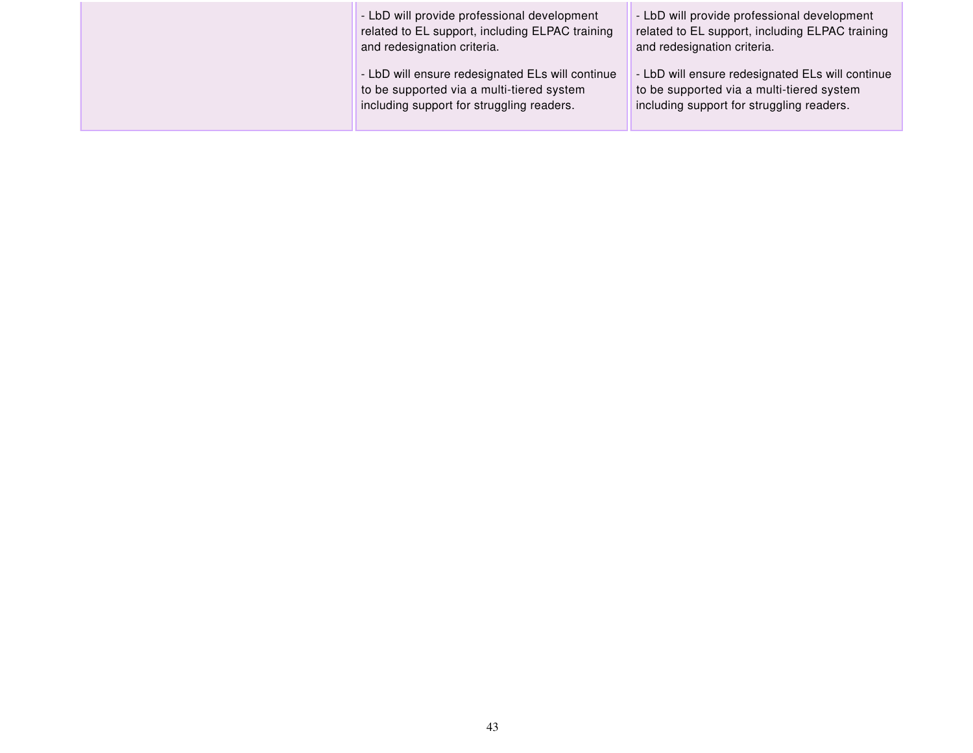| - LbD will provide professional development<br>related to EL support, including ELPAC training<br>and redesignation criteria.              | - LbD will provide professional development<br>related to EL support, including ELPAC training<br>and redesignation criteria.              |
|--------------------------------------------------------------------------------------------------------------------------------------------|--------------------------------------------------------------------------------------------------------------------------------------------|
| - LbD will ensure redesignated ELs will continue<br>to be supported via a multi-tiered system<br>including support for struggling readers. | - LbD will ensure redesignated ELs will continue<br>to be supported via a multi-tiered system<br>including support for struggling readers. |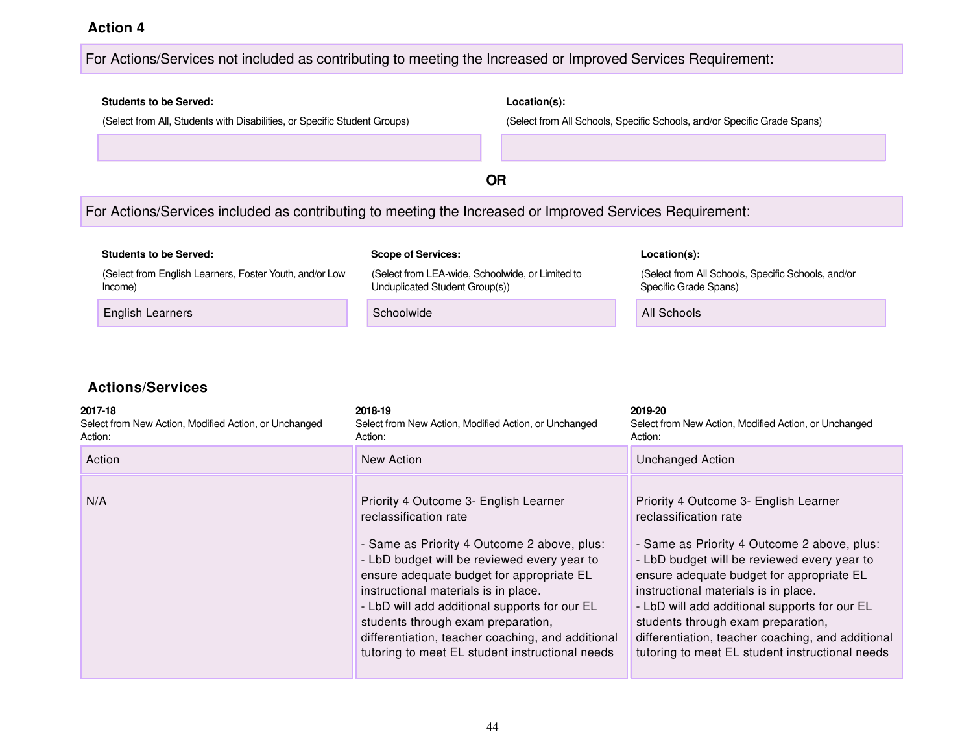#### For Actions/Services not included as contributing to meeting the Increased or Improved Services Requirement:

### **Students to be Served: Location(s):** (Select from All, Students with Disabilities, or Specific Student Groups) (Select from All Schools, Specific Schools, and/or Specific Grade Spans) **OR** For Actions/Services included as contributing to meeting the Increased or Improved Services Requirement: **Students to be Served: Scope of Services: Location(s):** (Select from English Learners, Foster Youth, and/or Low Income) (Select from LEA-wide, Schoolwide, or Limited to Unduplicated Student Group(s)) (Select from All Schools, Specific Schools, and/or Specific Grade Spans) English Learners **Schoolwide** All Schools and Schoolwide All Schools and All Schools

| 2017-18<br>Select from New Action, Modified Action, or Unchanged<br>Action: | 2018-19<br>Select from New Action, Modified Action, or Unchanged<br>Action:                                                                                                                                                                                                                                                                                                                                                                      | 2019-20<br>Select from New Action, Modified Action, or Unchanged<br>Action:                                                                                                                                                                                                                                                                                                                                                                      |
|-----------------------------------------------------------------------------|--------------------------------------------------------------------------------------------------------------------------------------------------------------------------------------------------------------------------------------------------------------------------------------------------------------------------------------------------------------------------------------------------------------------------------------------------|--------------------------------------------------------------------------------------------------------------------------------------------------------------------------------------------------------------------------------------------------------------------------------------------------------------------------------------------------------------------------------------------------------------------------------------------------|
| Action                                                                      | New Action                                                                                                                                                                                                                                                                                                                                                                                                                                       | <b>Unchanged Action</b>                                                                                                                                                                                                                                                                                                                                                                                                                          |
| N/A                                                                         | Priority 4 Outcome 3- English Learner<br>reclassification rate<br>- Same as Priority 4 Outcome 2 above, plus:<br>- LbD budget will be reviewed every year to<br>ensure adequate budget for appropriate EL<br>instructional materials is in place.<br>- LbD will add additional supports for our EL<br>students through exam preparation,<br>differentiation, teacher coaching, and additional<br>tutoring to meet EL student instructional needs | Priority 4 Outcome 3- English Learner<br>reclassification rate<br>- Same as Priority 4 Outcome 2 above, plus:<br>- LbD budget will be reviewed every year to<br>ensure adequate budget for appropriate EL<br>instructional materials is in place.<br>- LbD will add additional supports for our EL<br>students through exam preparation,<br>differentiation, teacher coaching, and additional<br>tutoring to meet EL student instructional needs |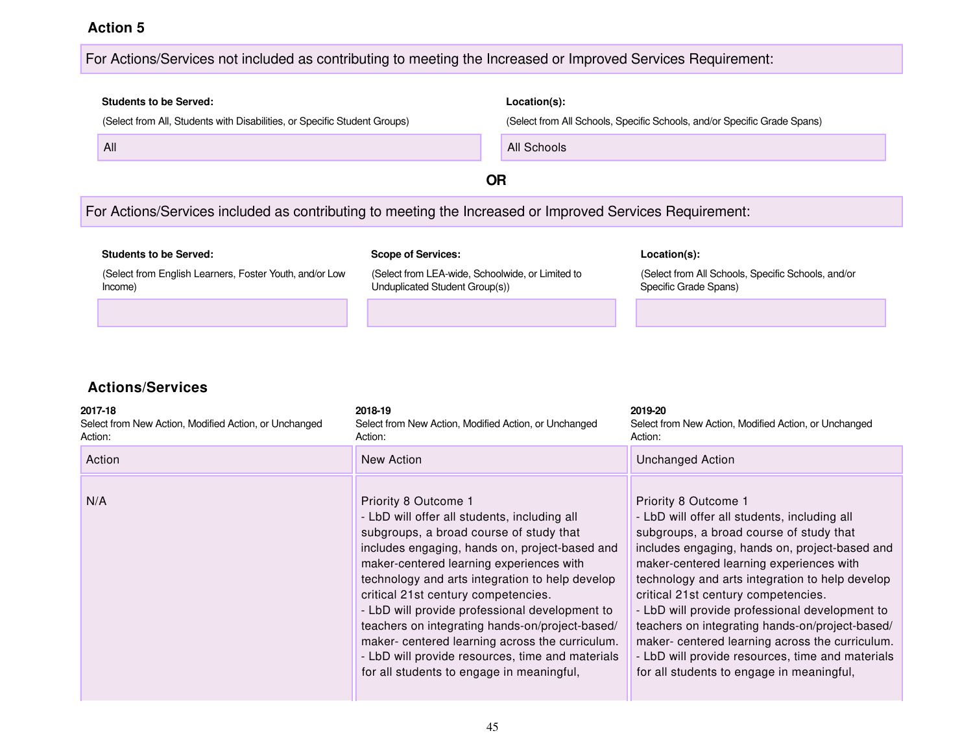#### For Actions/Services not included as contributing to meeting the Increased or Improved Services Requirement:

## **Students to be Served: Location(s):** (Select from All, Students with Disabilities, or Specific Student Groups) (Select from All Schools, Specific Schools, and/or Specific Grade Spans) All All Schools

**OR**

#### For Actions/Services included as contributing to meeting the Increased or Improved Services Requirement:

| <b>Students to be Served:</b>                                      | <b>Scope of Services:</b>                                                          | Location(s):                                                                |
|--------------------------------------------------------------------|------------------------------------------------------------------------------------|-----------------------------------------------------------------------------|
| (Select from English Learners, Foster Youth, and/or Low<br>Income) | (Select from LEA-wide, Schoolwide, or Limited to<br>Unduplicated Student Group(s)) | (Select from All Schools, Specific Schools, and/or<br>Specific Grade Spans) |
|                                                                    |                                                                                    |                                                                             |

| 2017-18<br>Select from New Action, Modified Action, or Unchanged<br>Action: | 2018-19<br>Select from New Action, Modified Action, or Unchanged<br>Action:                                                                                                                                                                                                                                                                                                                                                                                                                                                                                      | 2019-20<br>Select from New Action, Modified Action, or Unchanged<br>Action:                                                                                                                                                                                                                                                                                                                                                                                                                                                                                      |
|-----------------------------------------------------------------------------|------------------------------------------------------------------------------------------------------------------------------------------------------------------------------------------------------------------------------------------------------------------------------------------------------------------------------------------------------------------------------------------------------------------------------------------------------------------------------------------------------------------------------------------------------------------|------------------------------------------------------------------------------------------------------------------------------------------------------------------------------------------------------------------------------------------------------------------------------------------------------------------------------------------------------------------------------------------------------------------------------------------------------------------------------------------------------------------------------------------------------------------|
| Action                                                                      | New Action                                                                                                                                                                                                                                                                                                                                                                                                                                                                                                                                                       | <b>Unchanged Action</b>                                                                                                                                                                                                                                                                                                                                                                                                                                                                                                                                          |
| N/A                                                                         | Priority 8 Outcome 1<br>- LbD will offer all students, including all<br>subgroups, a broad course of study that<br>includes engaging, hands on, project-based and<br>maker-centered learning experiences with<br>technology and arts integration to help develop<br>critical 21st century competencies.<br>- LbD will provide professional development to<br>teachers on integrating hands-on/project-based/<br>maker- centered learning across the curriculum.<br>- LbD will provide resources, time and materials<br>for all students to engage in meaningful, | Priority 8 Outcome 1<br>- LbD will offer all students, including all<br>subgroups, a broad course of study that<br>includes engaging, hands on, project-based and<br>maker-centered learning experiences with<br>technology and arts integration to help develop<br>critical 21st century competencies.<br>- LbD will provide professional development to<br>teachers on integrating hands-on/project-based/<br>maker- centered learning across the curriculum.<br>- LbD will provide resources, time and materials<br>for all students to engage in meaningful, |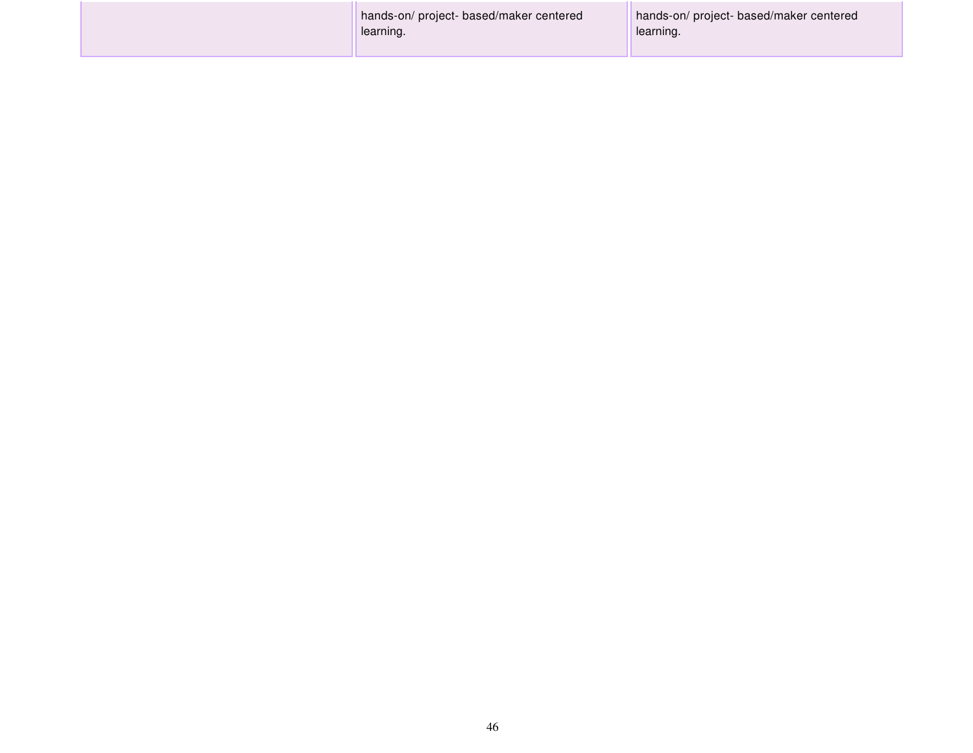| hands-on/project-based/maker centered<br>learning. | hands-on/project-based/maker centered<br>learning. |
|----------------------------------------------------|----------------------------------------------------|
|                                                    |                                                    |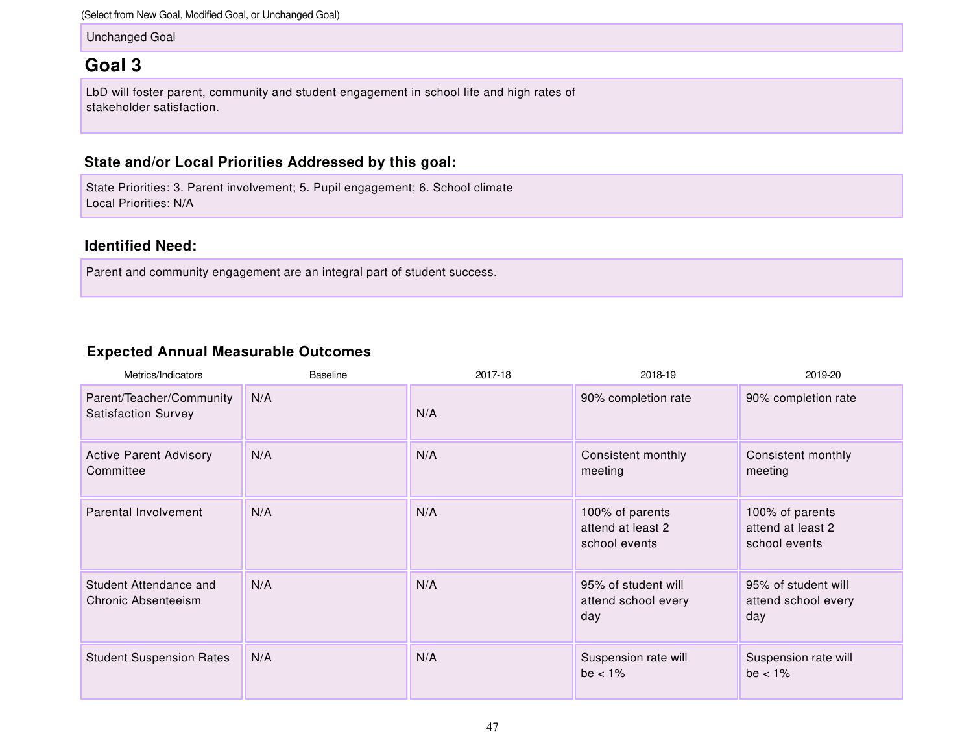(Select from New Goal, Modified Goal, or Unchanged Goal)

Unchanged Goal

### **Goal 3**

LbD will foster parent, community and student engagement in school life and high rates of stakeholder satisfaction.

#### **State and/or Local Priorities Addressed by this goal:**

State Priorities: 3. Parent involvement; 5. Pupil engagement; 6. School climate Local Priorities: N/A

#### **Identified Need:**

Parent and community engagement are an integral part of student success.

#### **Expected Annual Measurable Outcomes**

| Metrics/Indicators                                     | Baseline | 2017-18 | 2018-19                                               | 2019-20                                               |
|--------------------------------------------------------|----------|---------|-------------------------------------------------------|-------------------------------------------------------|
| Parent/Teacher/Community<br><b>Satisfaction Survey</b> | N/A      | N/A     | 90% completion rate                                   | 90% completion rate                                   |
| <b>Active Parent Advisory</b><br>Committee             | N/A      | N/A     | Consistent monthly<br>meeting                         | Consistent monthly<br>meeting                         |
| Parental Involvement                                   | N/A      | N/A     | 100% of parents<br>attend at least 2<br>school events | 100% of parents<br>attend at least 2<br>school events |
| Student Attendance and<br>Chronic Absenteeism          | N/A      | N/A     | 95% of student will<br>attend school every<br>day     | 95% of student will<br>attend school every<br>day     |
| <b>Student Suspension Rates</b>                        | N/A      | N/A     | Suspension rate will<br>be $< 1\%$                    | Suspension rate will<br>be $< 1\%$                    |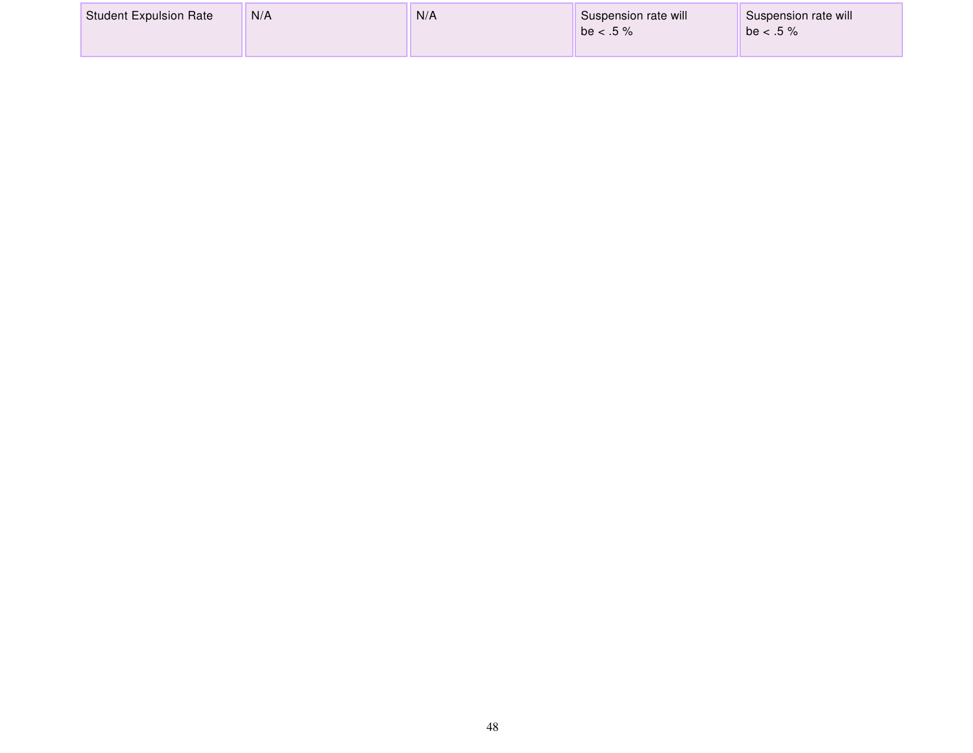| <b>Student Expulsion Rate</b> | N/A | N/A | Suspension rate will<br>$be < .5 \%$ | Suspension rate will<br>be $< .5 \%$ |
|-------------------------------|-----|-----|--------------------------------------|--------------------------------------|
|-------------------------------|-----|-----|--------------------------------------|--------------------------------------|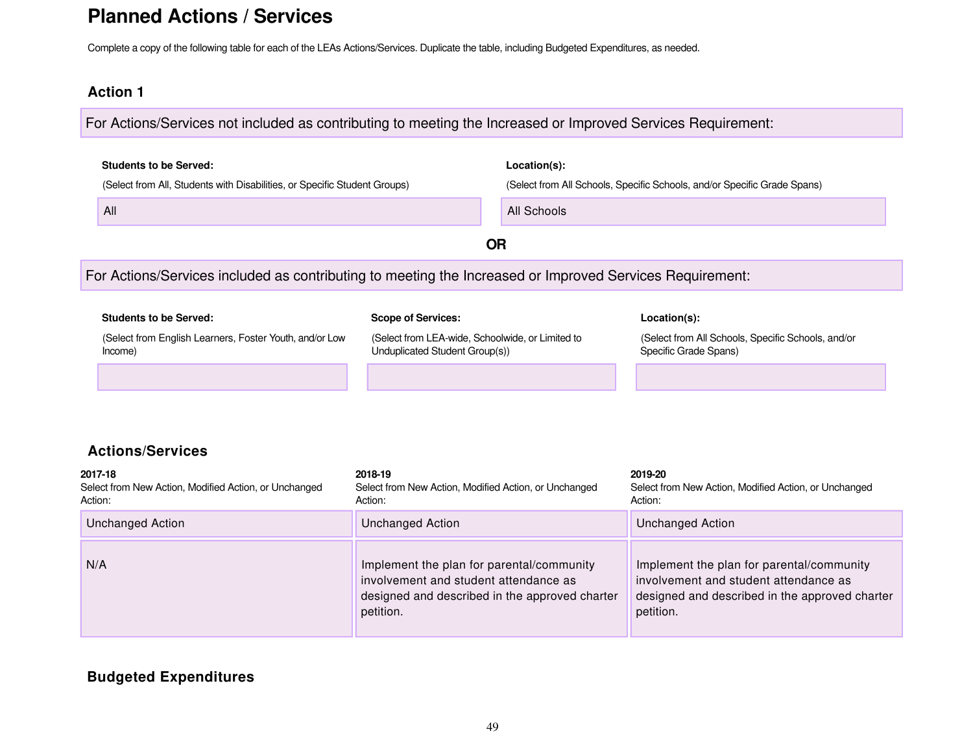## **Planned Actions / Services**

Complete a copy of the following table for each of the LEAs Actions/Services. Duplicate the table, including Budgeted Expenditures, as needed.

petition.

#### **Action 1**

For Actions/Services not included as contributing to meeting the Increased or Improved Services Requirement:

|                    | <b>Students to be Served:</b>                                                                            |                                                                                    |                                                | Location(s):                                                                                                                         |  |
|--------------------|----------------------------------------------------------------------------------------------------------|------------------------------------------------------------------------------------|------------------------------------------------|--------------------------------------------------------------------------------------------------------------------------------------|--|
|                    | (Select from All, Students with Disabilities, or Specific Student Groups)                                |                                                                                    |                                                | (Select from All Schools, Specific Schools, and/or Specific Grade Spans)                                                             |  |
|                    | All                                                                                                      |                                                                                    | All Schools                                    |                                                                                                                                      |  |
|                    |                                                                                                          |                                                                                    | <b>OR</b>                                      |                                                                                                                                      |  |
|                    | For Actions/Services included as contributing to meeting the Increased or Improved Services Requirement: |                                                                                    |                                                |                                                                                                                                      |  |
|                    | <b>Students to be Served:</b>                                                                            | <b>Scope of Services:</b>                                                          |                                                | Location(s):                                                                                                                         |  |
|                    |                                                                                                          |                                                                                    |                                                |                                                                                                                                      |  |
|                    | (Select from English Learners, Foster Youth, and/or Low<br>Income)                                       | (Select from LEA-wide, Schoolwide, or Limited to<br>Unduplicated Student Group(s)) |                                                | (Select from All Schools, Specific Schools, and/or<br>Specific Grade Spans)                                                          |  |
|                    |                                                                                                          |                                                                                    |                                                |                                                                                                                                      |  |
|                    |                                                                                                          |                                                                                    |                                                |                                                                                                                                      |  |
|                    | <b>Actions/Services</b>                                                                                  |                                                                                    |                                                |                                                                                                                                      |  |
| 2017-18<br>Action: | Select from New Action, Modified Action, or Unchanged                                                    | 2018-19<br>Select from New Action, Modified Action, or Unchanged<br>Action:        |                                                | 2019-20<br>Select from New Action, Modified Action, or Unchanged<br>Action:                                                          |  |
|                    | <b>Unchanged Action</b>                                                                                  | <b>Unchanged Action</b>                                                            |                                                | <b>Unchanged Action</b>                                                                                                              |  |
| N/A                |                                                                                                          | Implement the plan for parental/community<br>involvement and student attendance as | designed and described in the approved charter | Implement the plan for parental/community<br>involvement and student attendance as<br>designed and described in the approved charter |  |

#### **Budgeted Expenditures**

petition.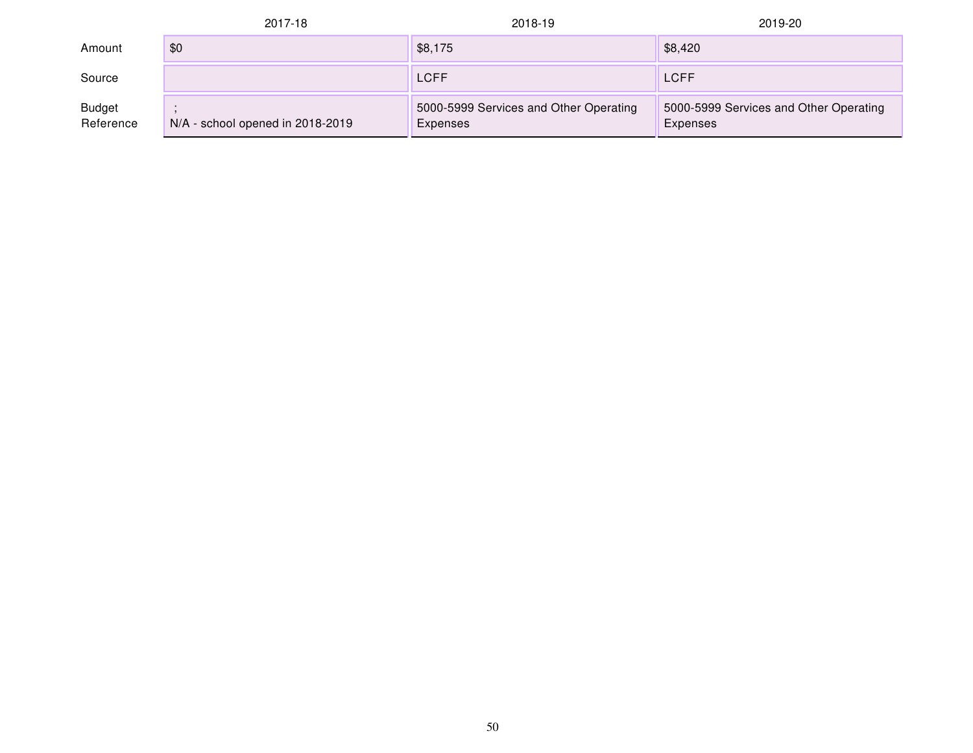|                            | 2017-18                          | 2018-19                                            | 2019-20                                            |
|----------------------------|----------------------------------|----------------------------------------------------|----------------------------------------------------|
| Amount                     | \$0                              | \$8,175                                            | \$8,420                                            |
| Source                     |                                  | <b>LCFF</b>                                        | <b>LCFF</b>                                        |
| <b>Budget</b><br>Reference | N/A - school opened in 2018-2019 | 5000-5999 Services and Other Operating<br>Expenses | 5000-5999 Services and Other Operating<br>Expenses |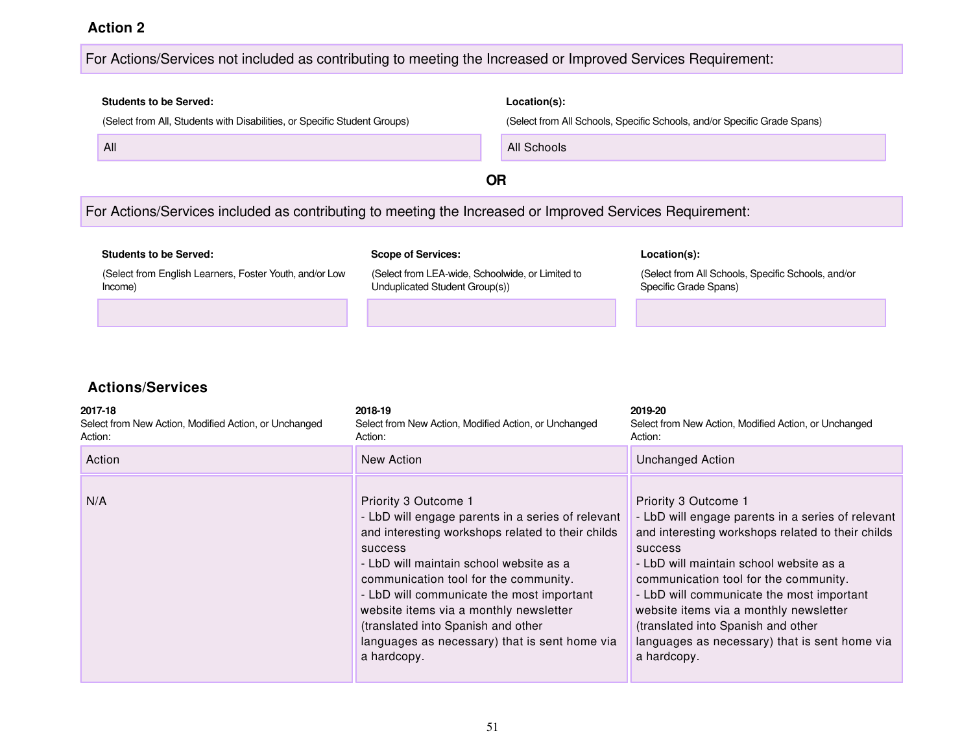#### For Actions/Services not included as contributing to meeting the Increased or Improved Services Requirement:

# **Students to be Served: Location(s):** (Select from All, Students with Disabilities, or Specific Student Groups) (Select from All Schools, Specific Schools, and/or Specific Grade Spans) **All Schools All Schools All Schools All Schools OR** For Actions/Services included as contributing to meeting the Increased or Improved Services Requirement:

| <b>Students to be Served:</b>                                      | <b>Scope of Services:</b>                                                          | Location(s):                                                                |
|--------------------------------------------------------------------|------------------------------------------------------------------------------------|-----------------------------------------------------------------------------|
| (Select from English Learners, Foster Youth, and/or Low<br>Income) | (Select from LEA-wide, Schoolwide, or Limited to<br>Unduplicated Student Group(s)) | (Select from All Schools, Specific Schools, and/or<br>Specific Grade Spans) |
|                                                                    |                                                                                    |                                                                             |

| 2017-18<br>Select from New Action, Modified Action, or Unchanged<br>Action: | 2018-19<br>Select from New Action, Modified Action, or Unchanged<br>Action:                                                                                                                                                                                                                                                                                                                                                       | 2019-20<br>Select from New Action, Modified Action, or Unchanged<br>Action:                                                                                                                                                                                                                                                                                                                                                       |
|-----------------------------------------------------------------------------|-----------------------------------------------------------------------------------------------------------------------------------------------------------------------------------------------------------------------------------------------------------------------------------------------------------------------------------------------------------------------------------------------------------------------------------|-----------------------------------------------------------------------------------------------------------------------------------------------------------------------------------------------------------------------------------------------------------------------------------------------------------------------------------------------------------------------------------------------------------------------------------|
| Action                                                                      | New Action                                                                                                                                                                                                                                                                                                                                                                                                                        | <b>Unchanged Action</b>                                                                                                                                                                                                                                                                                                                                                                                                           |
| N/A                                                                         | Priority 3 Outcome 1<br>- LbD will engage parents in a series of relevant<br>and interesting workshops related to their childs<br><b>SUCCESS</b><br>- LbD will maintain school website as a<br>communication tool for the community.<br>- LbD will communicate the most important<br>website items via a monthly newsletter<br>(translated into Spanish and other<br>languages as necessary) that is sent home via<br>a hardcopy. | Priority 3 Outcome 1<br>- LbD will engage parents in a series of relevant<br>and interesting workshops related to their childs<br><b>SUCCESS</b><br>- LbD will maintain school website as a<br>communication tool for the community.<br>- LbD will communicate the most important<br>website items via a monthly newsletter<br>(translated into Spanish and other<br>languages as necessary) that is sent home via<br>a hardcopy. |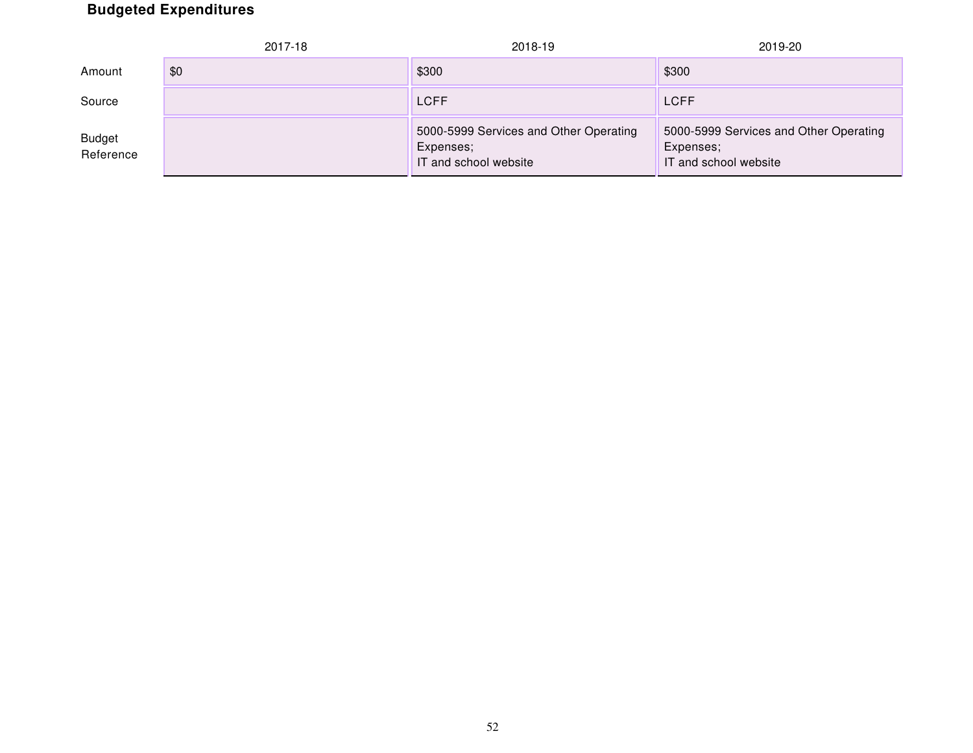## **Budgeted Expenditures**

|                            | 2017-18 | 2018-19                                                                      | 2019-20                                                                      |
|----------------------------|---------|------------------------------------------------------------------------------|------------------------------------------------------------------------------|
| Amount                     | \$0     | \$300                                                                        | \$300                                                                        |
| Source                     |         | <b>LCFF</b>                                                                  | <b>LCFF</b>                                                                  |
| <b>Budget</b><br>Reference |         | 5000-5999 Services and Other Operating<br>Expenses;<br>IT and school website | 5000-5999 Services and Other Operating<br>Expenses;<br>IT and school website |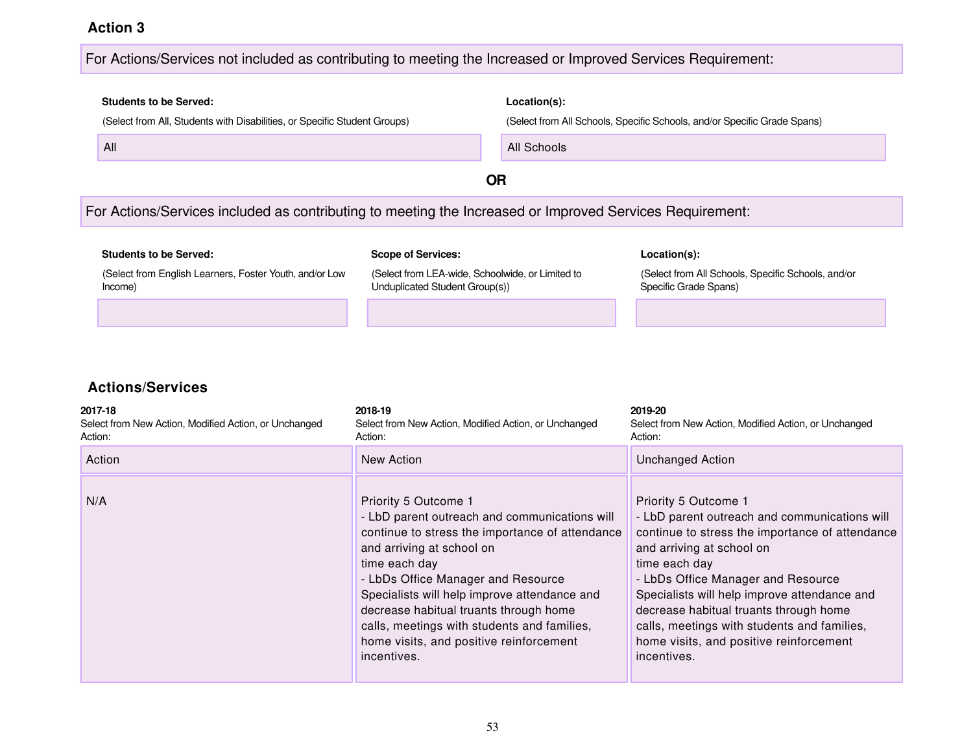#### For Actions/Services not included as contributing to meeting the Increased or Improved Services Requirement:

# **Students to be Served: Location(s):** (Select from All, Students with Disabilities, or Specific Student Groups) (Select from All Schools, Specific Schools, and/or Specific Grade Spans) All All Schools **OR** For Actions/Services included as contributing to meeting the Increased or Improved Services Requirement:

| <b>Students to be Served:</b>                                      | <b>Scope of Services:</b>                                                          | Location(s):                                                                |
|--------------------------------------------------------------------|------------------------------------------------------------------------------------|-----------------------------------------------------------------------------|
| (Select from English Learners, Foster Youth, and/or Low<br>Income) | (Select from LEA-wide, Schoolwide, or Limited to<br>Unduplicated Student Group(s)) | (Select from All Schools, Specific Schools, and/or<br>Specific Grade Spans) |
|                                                                    |                                                                                    |                                                                             |

| 2017-18<br>Select from New Action, Modified Action, or Unchanged<br>Action: | 2018-19<br>Select from New Action, Modified Action, or Unchanged<br>Action:                                                                                                                                                                                                                                                                                                                                     | 2019-20<br>Select from New Action, Modified Action, or Unchanged<br>Action:                                                                                                                                                                                                                                                                                                                                     |
|-----------------------------------------------------------------------------|-----------------------------------------------------------------------------------------------------------------------------------------------------------------------------------------------------------------------------------------------------------------------------------------------------------------------------------------------------------------------------------------------------------------|-----------------------------------------------------------------------------------------------------------------------------------------------------------------------------------------------------------------------------------------------------------------------------------------------------------------------------------------------------------------------------------------------------------------|
| Action                                                                      | New Action                                                                                                                                                                                                                                                                                                                                                                                                      | <b>Unchanged Action</b>                                                                                                                                                                                                                                                                                                                                                                                         |
| N/A                                                                         | Priority 5 Outcome 1<br>- LbD parent outreach and communications will<br>continue to stress the importance of attendance<br>and arriving at school on<br>time each day<br>- LbDs Office Manager and Resource<br>Specialists will help improve attendance and<br>decrease habitual truants through home<br>calls, meetings with students and families,<br>home visits, and positive reinforcement<br>incentives. | Priority 5 Outcome 1<br>- LbD parent outreach and communications will<br>continue to stress the importance of attendance<br>and arriving at school on<br>time each day<br>- LbDs Office Manager and Resource<br>Specialists will help improve attendance and<br>decrease habitual truants through home<br>calls, meetings with students and families,<br>home visits, and positive reinforcement<br>incentives. |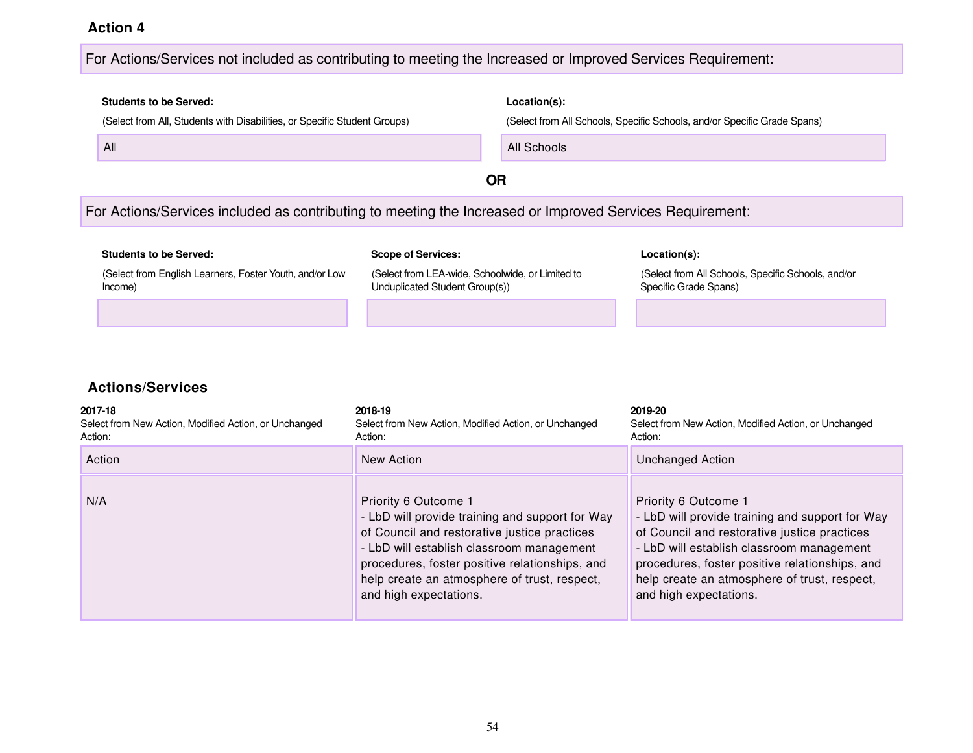#### For Actions/Services not included as contributing to meeting the Increased or Improved Services Requirement:

# **Students to be Served: Location(s):** (Select from All, Students with Disabilities, or Specific Student Groups) (Select from All Schools, Specific Schools, and/or Specific Grade Spans) All **All Schools All Schools All Schools All Schools OR** For Actions/Services included as contributing to meeting the Increased or Improved Services Requirement: **Students to be Served: Scope of Services: Location(s):**

(Select from English Learners, Foster Youth, and/or Low Income)

(Select from LEA-wide, Schoolwide, or Limited to Unduplicated Student Group(s))

(Select from All Schools, Specific Schools, and/or Specific Grade Spans)

| 2017-18<br>Select from New Action, Modified Action, or Unchanged<br>Action: | 2018-19<br>Select from New Action, Modified Action, or Unchanged<br>Action:                                                                                                                                                                                                                      | 2019-20<br>Select from New Action, Modified Action, or Unchanged<br>Action:                                                                                                                                                                                                                      |
|-----------------------------------------------------------------------------|--------------------------------------------------------------------------------------------------------------------------------------------------------------------------------------------------------------------------------------------------------------------------------------------------|--------------------------------------------------------------------------------------------------------------------------------------------------------------------------------------------------------------------------------------------------------------------------------------------------|
| Action                                                                      | New Action                                                                                                                                                                                                                                                                                       | Unchanged Action                                                                                                                                                                                                                                                                                 |
| N/A                                                                         | Priority 6 Outcome 1<br>- LbD will provide training and support for Way<br>of Council and restorative justice practices<br>- LbD will establish classroom management<br>procedures, foster positive relationships, and<br>help create an atmosphere of trust, respect,<br>and high expectations. | Priority 6 Outcome 1<br>- LbD will provide training and support for Way<br>of Council and restorative justice practices<br>- LbD will establish classroom management<br>procedures, foster positive relationships, and<br>help create an atmosphere of trust, respect,<br>and high expectations. |